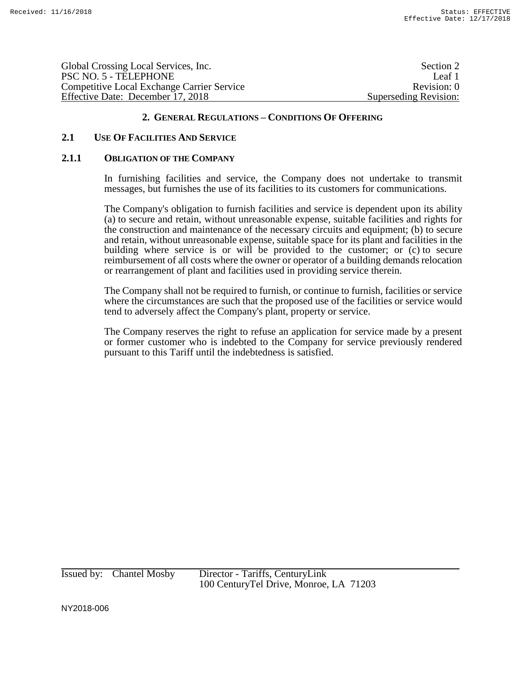| Section 2             |
|-----------------------|
| Leaf 1                |
| Revision: 0           |
| Superseding Revision: |
|                       |

## **2.1 USE OF FACILITIES AND SERVICE**

#### **2.1.1 OBLIGATION OF THE COMPANY**

In furnishing facilities and service, the Company does not undertake to transmit messages, but furnishes the use of its facilities to its customers for communications.

The Company's obligation to furnish facilities and service is dependent upon its ability (a) to secure and retain, without unreasonable expense, suitable facilities and rights for the construction and maintenance of the necessary circuits and equipment; (b) to secure and retain, without unreasonable expense, suitable space for its plant and facilities in the building where service is or will be provided to the customer; or (c) to secure reimbursement of all costs where the owner or operator of a building demands relocation or rearrangement of plant and facilities used in providing service therein.

The Company shall not be required to furnish, or continue to furnish, facilities or service where the circumstances are such that the proposed use of the facilities or service would tend to adversely affect the Company's plant, property or service.

The Company reserves the right to refuse an application for service made by a present or former customer who is indebted to the Company for service previously rendered pursuant to this Tariff until the indebtedness is satisfied.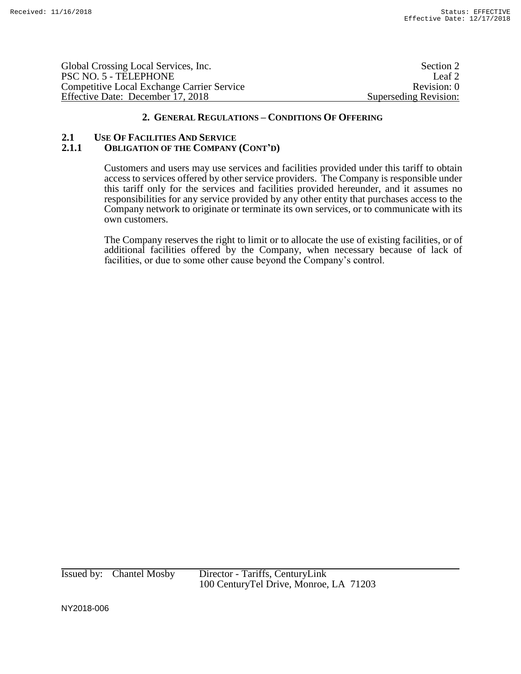| Global Crossing Local Services, Inc.              | Section 2             |
|---------------------------------------------------|-----------------------|
| PSC NO. 5 - TELEPHONE                             | Leaf <sub>2</sub>     |
| <b>Competitive Local Exchange Carrier Service</b> | Revision: 0           |
| Effective Date: December 17, 2018                 | Superseding Revision: |

### 2.1 **USE OF FACILITIES AND SERVICE**<br>2.1.1 **OBLIGATION OF THE COMPANY 2.1.1 OBLIGATION OF THE COMPANY (CONT'D)**

Customers and users may use services and facilities provided under this tariff to obtain access to services offered by other service providers. The Company is responsible under this tariff only for the services and facilities provided hereunder, and it assumes no responsibilities for any service provided by any other entity that purchases access to the Company network to originate or terminate its own services, or to communicate with its own customers.

The Company reserves the right to limit or to allocate the use of existing facilities, or of additional facilities offered by the Company, when necessary because of lack of facilities, or due to some other cause beyond the Company's control.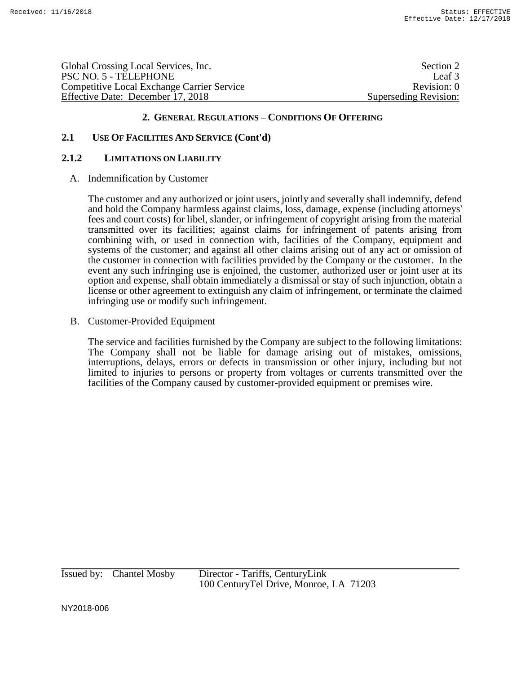Global Crossing Local Services, Inc. Section 2 and Section 2 and Section 2 and Section 2 and Section 2 and Section 2 and Section 2 and Section 2 and Section 2 and Section 2 and Section 2 and Section 2 and Section 2 and Sec PSC NO. 5 - TELEPHONE Leaf 3 Competitive Local Exchange Carrier Service Revision: 0 Effective Date: December 17, 2018 Superseding Revision:

# **2. GENERAL REGULATIONS – CONDITIONS OF OFFERING**

# **2.1 USE OF FACILITIES AND SERVICE (Cont'd)**

### **2.1.2 LIMITATIONS ON LIABILITY**

A. Indemnification by Customer

The customer and any authorized or joint users, jointly and severally shall indemnify, defend and hold the Company harmless against claims, loss, damage, expense (including attorneys' fees and court costs) for libel, slander, or infringement of copyright arising from the material transmitted over its facilities; against claims for infringement of patents arising from combining with, or used in connection with, facilities of the Company, equipment and systems of the customer; and against all other claims arising out of any act or omission of the customer in connection with facilities provided by the Company or the customer. In the event any such infringing use is enjoined, the customer, authorized user or joint user at its option and expense, shall obtain immediately a dismissal or stay of such injunction, obtain a license or other agreement to extinguish any claim of infringement, or terminate the claimed infringing use or modify such infringement.

B. Customer-Provided Equipment

The service and facilities furnished by the Company are subject to the following limitations: The Company shall not be liable for damage arising out of mistakes, omissions, interruptions, delays, errors or defects in transmission or other injury, including but not limited to injuries to persons or property from voltages or currents transmitted over the facilities of the Company caused by customer-provided equipment or premises wire.

Issued by: Chantel Mosby Director - Tariffs, CenturyLink 100 CenturyTel Drive, Monroe, LA 71203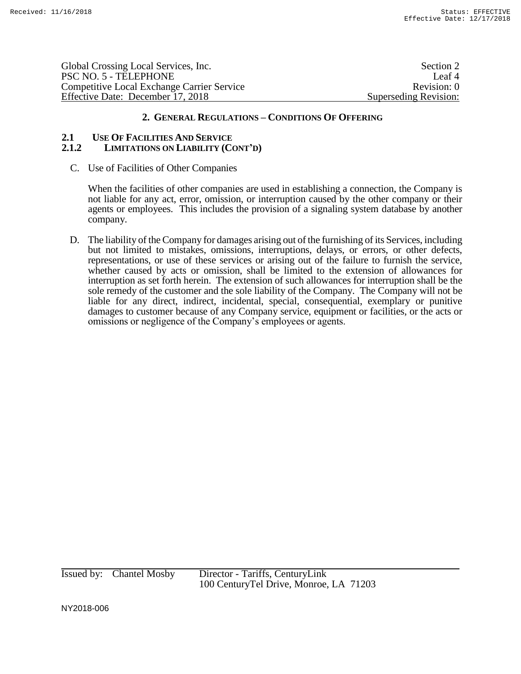Global Crossing Local Services, Inc. Section 2 and Section 2 and Section 2 and Section 2 and Section 2 and Section 2 and Section 2 and Section 2 and Section 2 and Section 2 and Section 2 and Section 2 and Section 2 and Sec PSC NO. 5 - TELEPHONE Leaf 4 Competitive Local Exchange Carrier Service Revision: 0 Effective Date: December 17, 2018 Superseding Revision:

# **2. GENERAL REGULATIONS – CONDITIONS OF OFFERING**

#### **2.1 USE OF FACILITIES AND SERVICE 2.1.2 LIMITATIONS ON LIABILITY (CONT'D)**

C. Use of Facilities of Other Companies

When the facilities of other companies are used in establishing a connection, the Company is not liable for any act, error, omission, or interruption caused by the other company or their agents or employees. This includes the provision of a signaling system database by another company.

D. The liability of the Company for damages arising out of the furnishing of its Services, including but not limited to mistakes, omissions, interruptions, delays, or errors, or other defects, representations, or use of these services or arising out of the failure to furnish the service, whether caused by acts or omission, shall be limited to the extension of allowances for interruption as set forth herein. The extension of such allowances for interruption shall be the sole remedy of the customer and the sole liability of the Company. The Company will not be liable for any direct, indirect, incidental, special, consequential, exemplary or punitive damages to customer because of any Company service, equipment or facilities, or the acts or omissions or negligence of the Company's employees or agents.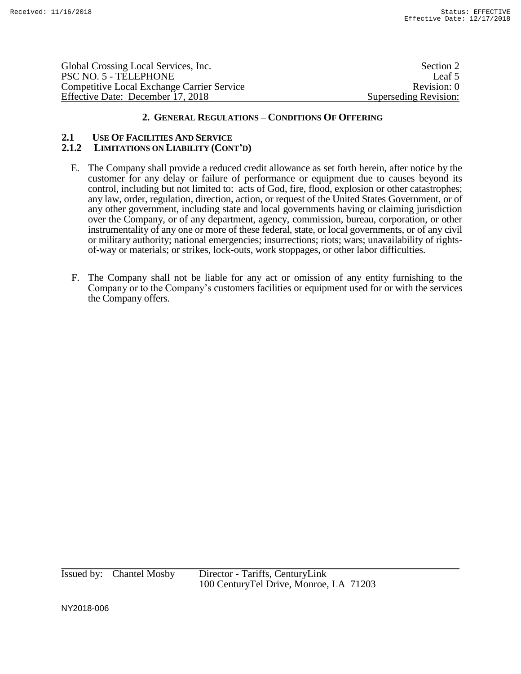Global Crossing Local Services, Inc. Section 2 PSC NO. 5 - TELEPHONE Leaf 5 Competitive Local Exchange Carrier Service Revision: 0 Effective Date: December 17, 2018 Superseding Revision:

## **2. GENERAL REGULATIONS – CONDITIONS OF OFFERING**

#### **2.1 USE OF FACILITIES AND SERVICE 2.1.2 LIMITATIONS ON LIABILITY (CONT'D)**

- E. The Company shall provide a reduced credit allowance as set forth herein, after notice by the customer for any delay or failure of performance or equipment due to causes beyond its control, including but not limited to: acts of God, fire, flood, explosion or other catastrophes; any law, order, regulation, direction, action, or request of the United States Government, or of any other government, including state and local governments having or claiming jurisdiction over the Company, or of any department, agency, commission, bureau, corporation, or other instrumentality of any one or more of these federal, state, or local governments, or of any civil or military authority; national emergencies; insurrections; riots; wars; unavailability of rightsof-way or materials; or strikes, lock-outs, work stoppages, or other labor difficulties.
- F. The Company shall not be liable for any act or omission of any entity furnishing to the Company or to the Company's customers facilities or equipment used for or with the services the Company offers.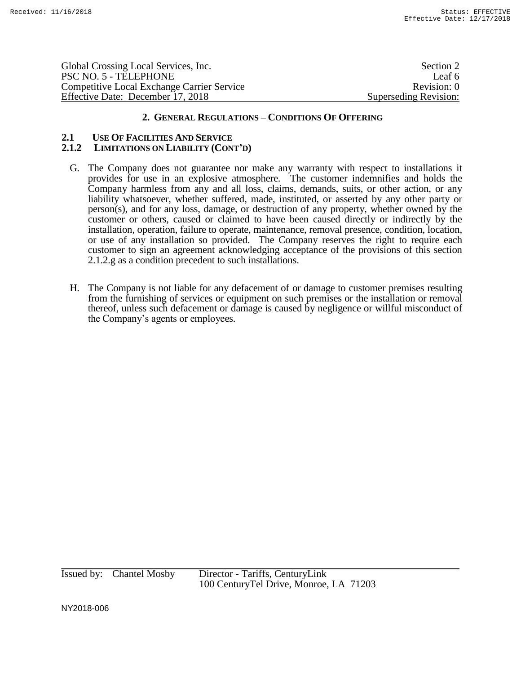Global Crossing Local Services, Inc. Section 2 PSC NO. 5 - TELEPHONE Leaf 6 Competitive Local Exchange Carrier Service Revision: 0 Effective Date: December 17, 2018 Superseding Revision:

## **2. GENERAL REGULATIONS – CONDITIONS OF OFFERING**

#### **2.1 USE OF FACILITIES AND SERVICE 2.1.2 LIMITATIONS ON LIABILITY (CONT'D)**

- G. The Company does not guarantee nor make any warranty with respect to installations it provides for use in an explosive atmosphere. The customer indemnifies and holds the Company harmless from any and all loss, claims, demands, suits, or other action, or any liability whatsoever, whether suffered, made, instituted, or asserted by any other party or person(s), and for any loss, damage, or destruction of any property, whether owned by the customer or others, caused or claimed to have been caused directly or indirectly by the installation, operation, failure to operate, maintenance, removal presence, condition, location, or use of any installation so provided. The Company reserves the right to require each customer to sign an agreement acknowledging acceptance of the provisions of this section 2.1.2.g as a condition precedent to such installations.
- H. The Company is not liable for any defacement of or damage to customer premises resulting from the furnishing of services or equipment on such premises or the installation or removal thereof, unless such defacement or damage is caused by negligence or willful misconduct of the Company's agents or employees.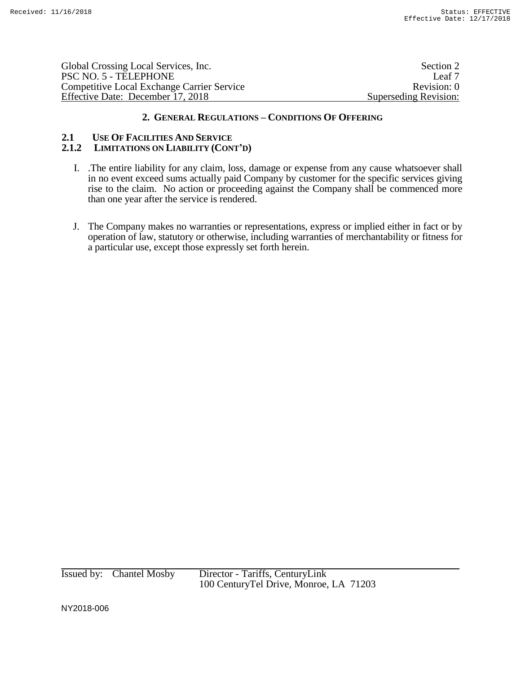| Global Crossing Local Services, Inc.              | Section 2             |
|---------------------------------------------------|-----------------------|
| PSC NO. 5 - TELEPHONE                             | Leaf 7                |
| <b>Competitive Local Exchange Carrier Service</b> | Revision: 0           |
| Effective Date: December 17, 2018                 | Superseding Revision: |
|                                                   |                       |

#### **2.1 USE OF FACILITIES AND SERVICE 2.1.2 LIMITATIONS ON LIABILITY (CONT'D)**

- I. .The entire liability for any claim, loss, damage or expense from any cause whatsoever shall in no event exceed sums actually paid Company by customer for the specific services giving rise to the claim. No action or proceeding against the Company shall be commenced more than one year after the service is rendered.
- J. The Company makes no warranties or representations, express or implied either in fact or by operation of law, statutory or otherwise, including warranties of merchantability or fitness for a particular use, except those expressly set forth herein.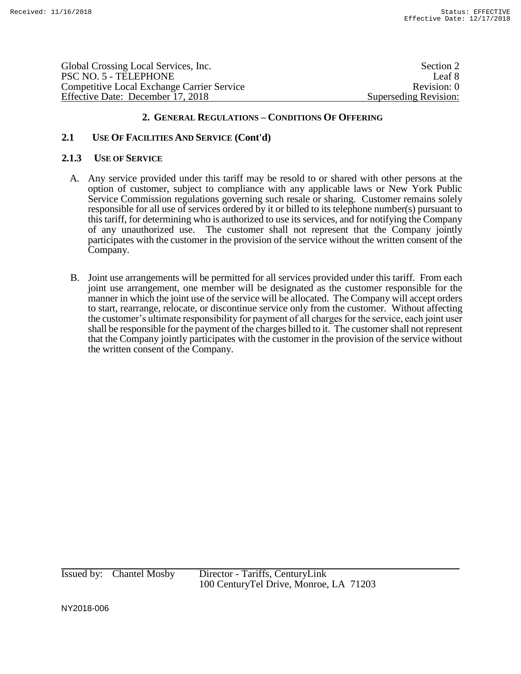Global Crossing Local Services, Inc. Section 2 and Section 2 and Section 2 and Section 2 and Section 2 and Section 2 and Section 2 and Section 2 and Section 2 and Section 2 and Section 2 and Section 2 and Section 2 and Sec PSC NO. 5 - TELEPHONE Leaf 8 Competitive Local Exchange Carrier Service Revision: 0 Effective Date: December 17, 2018 Superseding Revision:

# **2. GENERAL REGULATIONS – CONDITIONS OF OFFERING**

# **2.1 USE OF FACILITIES AND SERVICE (Cont'd)**

#### **2.1.3 USE OF SERVICE**

- A. Any service provided under this tariff may be resold to or shared with other persons at the option of customer, subject to compliance with any applicable laws or New York Public Service Commission regulations governing such resale or sharing. Customer remains solely responsible for all use of services ordered by it or billed to its telephone number(s) pursuant to this tariff, for determining who is authorized to use its services, and for notifying the Company of any unauthorized use. The customer shall not represent that the Company jointly participates with the customer in the provision of the service without the written consent of the Company.
- B. Joint use arrangements will be permitted for all services provided under this tariff. From each joint use arrangement, one member will be designated as the customer responsible for the manner in which the joint use of the service will be allocated. The Company will accept orders to start, rearrange, relocate, or discontinue service only from the customer. Without affecting the customer's ultimate responsibility for payment of all charges for the service, each joint user shall be responsible for the payment of the charges billed to it. The customershall not represent that the Company jointly participates with the customer in the provision of the service without the written consent of the Company.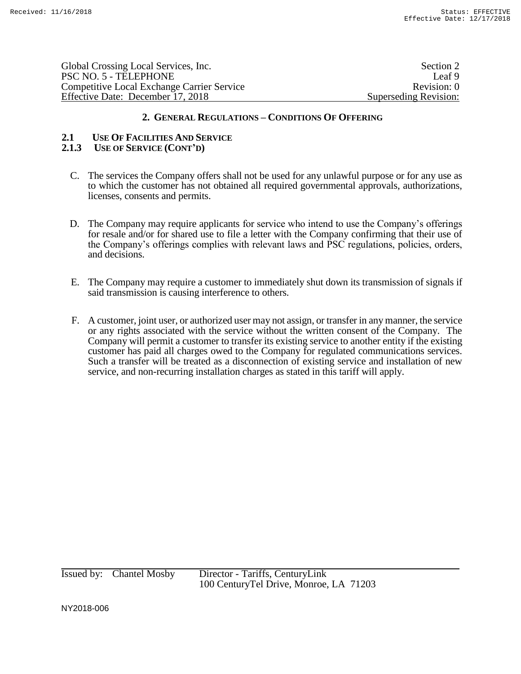| Global Crossing Local Services, Inc.              | Section 2             |
|---------------------------------------------------|-----------------------|
| PSC NO. 5 - TELEPHONE                             | Leaf 9                |
| <b>Competitive Local Exchange Carrier Service</b> | Revision: 0           |
| Effective Date: December 17, 2018                 | Superseding Revision: |
|                                                   |                       |

# **2.1 USE OF FACILITIES AND SERVICE**

# **2.1.3 USE OF SERVICE (CONT'D)**

- C. The services the Company offers shall not be used for any unlawful purpose or for any use as to which the customer has not obtained all required governmental approvals, authorizations, licenses, consents and permits.
- D. The Company may require applicants for service who intend to use the Company's offerings for resale and/or for shared use to file a letter with the Company confirming that their use of the Company's offerings complies with relevant laws and PSC regulations, policies, orders, and decisions.
- E. The Company may require a customer to immediately shut down its transmission of signals if said transmission is causing interference to others.
- F. A customer, joint user, or authorized user may not assign, or transfer in any manner, the service or any rights associated with the service without the written consent of the Company. The Company will permit a customer to transfer its existing service to another entity if the existing customer has paid all charges owed to the Company for regulated communications services. Such a transfer will be treated as a disconnection of existing service and installation of new service, and non-recurring installation charges as stated in this tariff will apply.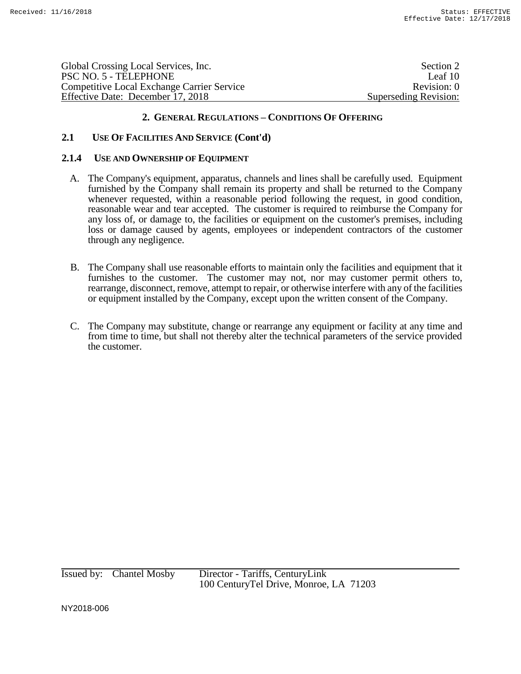| Global Crossing Local Services, Inc.              | Section 2             |
|---------------------------------------------------|-----------------------|
| PSC NO. 5 - TELEPHONE                             | Leaf 10               |
| <b>Competitive Local Exchange Carrier Service</b> | Revision: 0           |
| Effective Date: December 17, 2018                 | Superseding Revision: |

# **2.1 USE OF FACILITIES AND SERVICE (Cont'd)**

#### **2.1.4 USE AND OWNERSHIP OF EQUIPMENT**

- A. The Company's equipment, apparatus, channels and lines shall be carefully used. Equipment furnished by the Company shall remain its property and shall be returned to the Company whenever requested, within a reasonable period following the request, in good condition, reasonable wear and tear accepted. The customer is required to reimburse the Company for any loss of, or damage to, the facilities or equipment on the customer's premises, including loss or damage caused by agents, employees or independent contractors of the customer through any negligence.
- B. The Company shall use reasonable efforts to maintain only the facilities and equipment that it furnishes to the customer. The customer may not, nor may customer permit others to, rearrange, disconnect, remove, attempt to repair, or otherwise interfere with any of the facilities or equipment installed by the Company, except upon the written consent of the Company.
- C. The Company may substitute, change or rearrange any equipment or facility at any time and from time to time, but shall not thereby alter the technical parameters of the service provided the customer.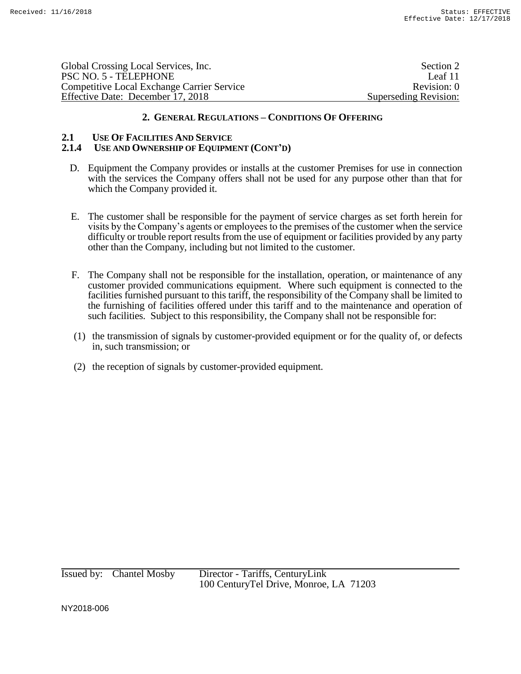| Global Crossing Local Services, Inc.              | Section 2             |
|---------------------------------------------------|-----------------------|
| PSC NO. 5 - TELEPHONE                             | Leaf 11               |
| <b>Competitive Local Exchange Carrier Service</b> | Revision: 0           |
| Effective Date: December 17, 2018                 | Superseding Revision: |

# **2.1 USE OF FACILITIES AND SERVICE**

## **2.1.4 USE AND OWNERSHIP OF EQUIPMENT (CONT'D)**

- D. Equipment the Company provides or installs at the customer Premises for use in connection with the services the Company offers shall not be used for any purpose other than that for which the Company provided it.
- E. The customer shall be responsible for the payment of service charges as set forth herein for visits by the Company's agents or employees to the premises of the customer when the service difficulty or trouble report results from the use of equipment or facilities provided by any party other than the Company, including but not limited to the customer.
- F. The Company shall not be responsible for the installation, operation, or maintenance of any customer provided communications equipment. Where such equipment is connected to the facilities furnished pursuant to this tariff, the responsibility of the Company shall be limited to the furnishing of facilities offered under this tariff and to the maintenance and operation of such facilities. Subject to this responsibility, the Company shall not be responsible for:
- (1) the transmission of signals by customer-provided equipment or for the quality of, or defects in, such transmission; or
- (2) the reception of signals by customer-provided equipment.

Issued by: Chantel Mosby Director - Tariffs, CenturyLink 100 CenturyTel Drive, Monroe, LA 71203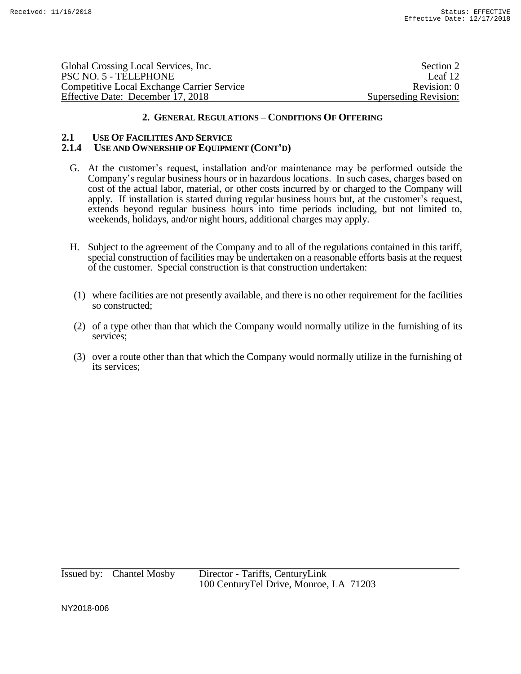| Global Crossing Local Services, Inc.              | Section 2             |
|---------------------------------------------------|-----------------------|
| PSC NO. 5 - TELEPHONE                             | Leaf 12               |
| <b>Competitive Local Exchange Carrier Service</b> | Revision: 0           |
| Effective Date: December 17, 2018                 | Superseding Revision: |

# **2.1 USE OF FACILITIES AND SERVICE**

# **2.1.4 USE AND OWNERSHIP OF EQUIPMENT (CONT'D)**

- G. At the customer's request, installation and/or maintenance may be performed outside the Company's regular business hours or in hazardous locations. In such cases, charges based on cost of the actual labor, material, or other costs incurred by or charged to the Company will apply. If installation is started during regular business hours but, at the customer's request, extends beyond regular business hours into time periods including, but not limited to, weekends, holidays, and/or night hours, additional charges may apply.
- H. Subject to the agreement of the Company and to all of the regulations contained in this tariff, special construction of facilities may be undertaken on a reasonable efforts basis at the request of the customer. Special construction is that construction undertaken:
- (1) where facilities are not presently available, and there is no other requirement for the facilities so constructed;
- (2) of a type other than that which the Company would normally utilize in the furnishing of its services;
- (3) over a route other than that which the Company would normally utilize in the furnishing of its services;

Issued by: Chantel Mosby Director - Tariffs, CenturyLink 100 CenturyTel Drive, Monroe, LA 71203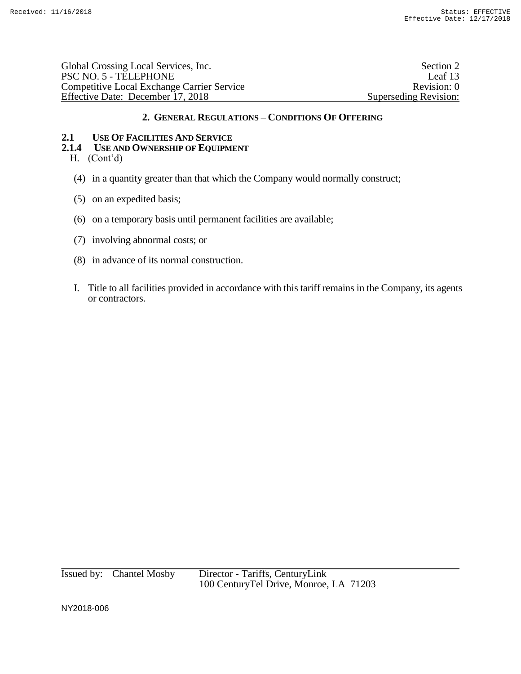Global Crossing Local Services, Inc.<br>
PSC NO. 5 - TELEPHONE Leaf 13 PSC NO. 5 - TELEPHONE Competitive Local Exchange Carrier Service Revision: 0 Effective Date: December 17, 2018 Superseding Revision:

# **2. GENERAL REGULATIONS – CONDITIONS OF OFFERING**

# **2.1 USE OF FACILITIES AND SERVICE**

# **2.1.4 USE AND OWNERSHIP OF EQUIPMENT**

- H. (Cont'd)
- (4) in a quantity greater than that which the Company would normally construct;
- (5) on an expedited basis;
- (6) on a temporary basis until permanent facilities are available;
- (7) involving abnormal costs; or
- (8) in advance of its normal construction.
- I. Title to all facilities provided in accordance with this tariff remains in the Company, its agents or contractors.

Issued by: Chantel Mosby Director - Tariffs, CenturyLink 100 CenturyTel Drive, Monroe, LA 71203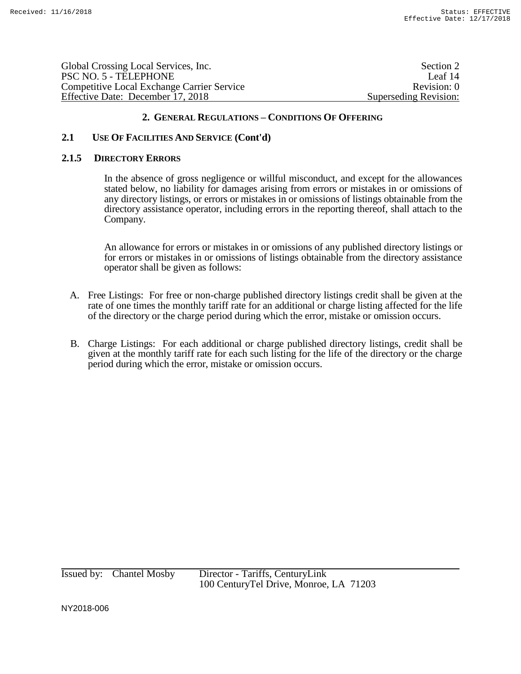| Global Crossing Local Services, Inc.              | Section 2             |
|---------------------------------------------------|-----------------------|
| PSC NO. 5 - TELEPHONE                             | Leaf 14               |
| <b>Competitive Local Exchange Carrier Service</b> | Revision: 0           |
| Effective Date: December 17, 2018                 | Superseding Revision: |
|                                                   |                       |

# **2.1 USE OF FACILITIES AND SERVICE (Cont'd)**

#### **2.1.5 DIRECTORY ERRORS**

In the absence of gross negligence or willful misconduct, and except for the allowances stated below, no liability for damages arising from errors or mistakes in or omissions of any directory listings, or errors or mistakes in or omissions of listings obtainable from the directory assistance operator, including errors in the reporting thereof, shall attach to the Company.

An allowance for errors or mistakes in or omissions of any published directory listings or for errors or mistakes in or omissions of listings obtainable from the directory assistance operator shall be given as follows:

- A. Free Listings: For free or non-charge published directory listings credit shall be given at the rate of one times the monthly tariff rate for an additional or charge listing affected for the life of the directory or the charge period during which the error, mistake or omission occurs.
- B. Charge Listings: For each additional or charge published directory listings, credit shall be given at the monthly tariff rate for each such listing for the life of the directory or the charge period during which the error, mistake or omission occurs.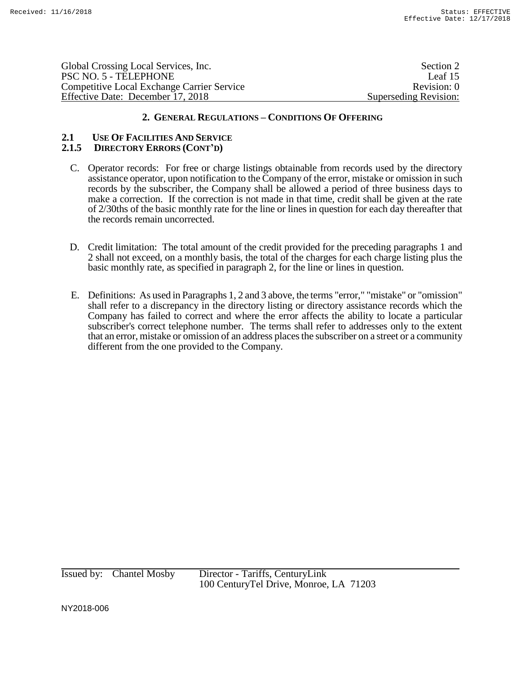| Section 2             |
|-----------------------|
| Leaf 15               |
| Revision: 0           |
| Superseding Revision: |
|                       |

#### **2.1 USE OF FACILITIES AND SERVICE 2.1.5 DIRECTORY ERRORS (CONT'D)**

- C. Operator records: For free or charge listings obtainable from records used by the directory assistance operator, upon notification to the Company of the error, mistake or omission in such records by the subscriber, the Company shall be allowed a period of three business days to make a correction. If the correction is not made in that time, credit shall be given at the rate of 2/30ths of the basic monthly rate for the line or lines in question for each day thereafter that the records remain uncorrected.
- D. Credit limitation: The total amount of the credit provided for the preceding paragraphs 1 and 2 shall not exceed, on a monthly basis, the total of the charges for each charge listing plus the basic monthly rate, as specified in paragraph 2, for the line or lines in question.
- E. Definitions: As used in Paragraphs 1, 2 and 3 above, the terms "error," "mistake" or "omission" shall refer to a discrepancy in the directory listing or directory assistance records which the Company has failed to correct and where the error affects the ability to locate a particular subscriber's correct telephone number. The terms shall refer to addresses only to the extent that an error, mistake or omission of an address places the subscriber on a street or a community different from the one provided to the Company.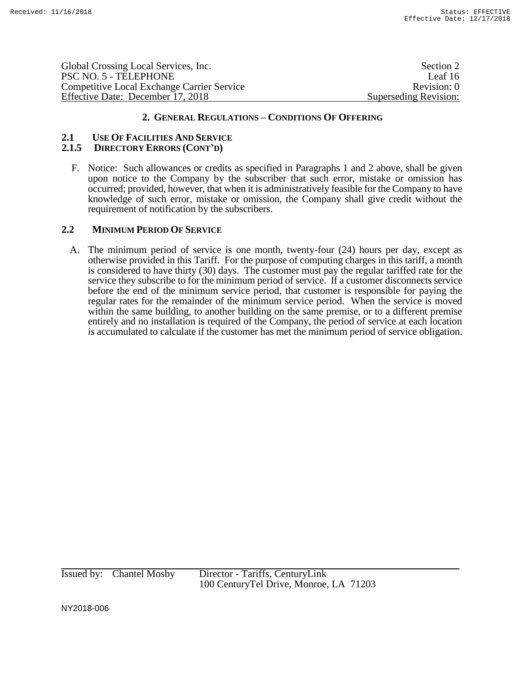| PSC NO. 5 - TELEPHONE             | Global Crossing Local Services, Inc.              | Section 2             |
|-----------------------------------|---------------------------------------------------|-----------------------|
|                                   |                                                   | Leaf 16               |
|                                   | <b>Competitive Local Exchange Carrier Service</b> | Revision: 0           |
| Effective Date: December 17, 2018 |                                                   | Superseding Revision: |

#### **2.1 USE OF FACILITIES AND SERVICE 2.1.5 DIRECTORY ERRORS (CONT'D)**

F. Notice: Such allowances or credits as specified in Paragraphs 1 and 2 above, shall be given upon notice to the Company by the subscriber that such error, mistake or omission has occurred; provided, however, that when it is administratively feasible for the Company to have knowledge of such error, mistake or omission, the Company shall give credit without the requirement of notification by the subscribers.

## **2.2 MINIMUM PERIOD OF SERVICE**

A. The minimum period of service is one month, twenty-four (24) hours per day, except as otherwise provided in this Tariff. For the purpose of computing charges in this tariff, a month is considered to have thirty (30) days. The customer must pay the regular tariffed rate for the service they subscribe to for the minimum period of service. If a customer disconnects service before the end of the minimum service period, that customer is responsible for paying the regular rates for the remainder of the minimum service period. When the service is moved within the same building, to another building on the same premise, or to a different premise entirely and no installation is required of the Company, the period of service at each location is accumulated to calculate if the customer has met the minimum period of service obligation.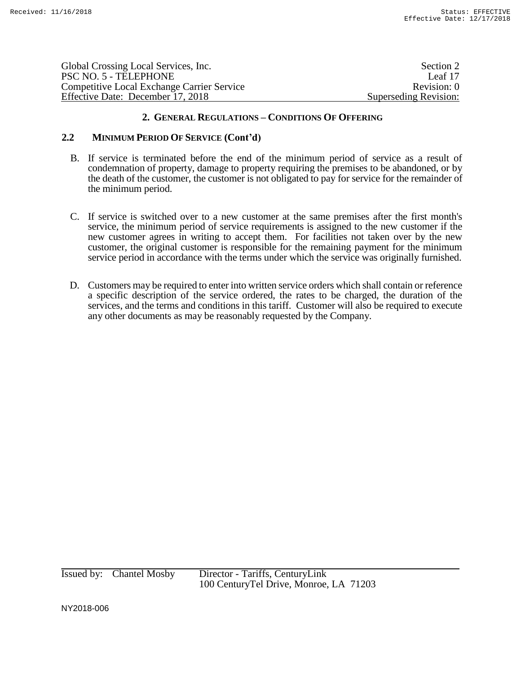| Global Crossing Local Services, Inc.              | Section 2             |
|---------------------------------------------------|-----------------------|
| PSC NO. 5 - TELEPHONE                             | Leaf 17               |
| <b>Competitive Local Exchange Carrier Service</b> | Revision: 0           |
| Effective Date: December 17, 2018                 | Superseding Revision: |

# **2.2 MINIMUM PERIOD OF SERVICE (Cont'd)**

- B. If service is terminated before the end of the minimum period of service as a result of condemnation of property, damage to property requiring the premises to be abandoned, or by the death of the customer, the customer is not obligated to pay for service for the remainder of the minimum period.
- C. If service is switched over to a new customer at the same premises after the first month's service, the minimum period of service requirements is assigned to the new customer if the new customer agrees in writing to accept them. For facilities not taken over by the new customer, the original customer is responsible for the remaining payment for the minimum service period in accordance with the terms under which the service was originally furnished.
- D. Customers may be required to enter into written service orders which shall contain or reference a specific description of the service ordered, the rates to be charged, the duration of the services, and the terms and conditions in this tariff. Customer will also be required to execute any other documents as may be reasonably requested by the Company.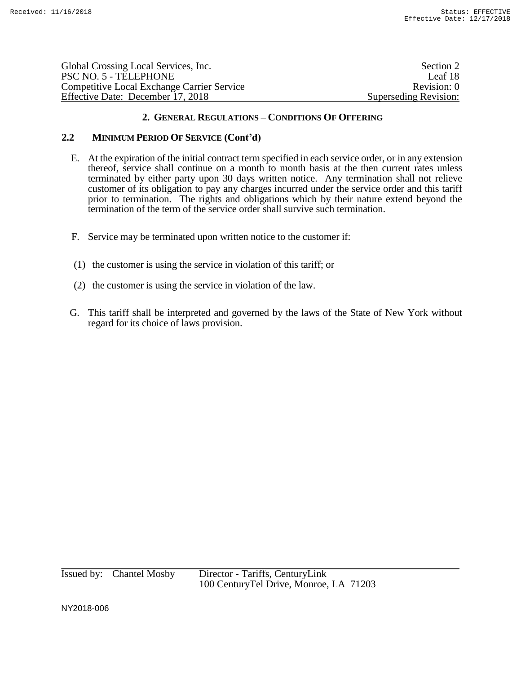| Global Crossing Local Services, Inc.       | Section 2             |
|--------------------------------------------|-----------------------|
| PSC NO. 5 - TELEPHONE                      | Leaf 18               |
| Competitive Local Exchange Carrier Service | Revision: 0           |
| Effective Date: December 17, 2018          | Superseding Revision: |

# **2.2 MINIMUM PERIOD OF SERVICE (Cont'd)**

- E. At the expiration of the initial contract term specified in each service order, or in any extension thereof, service shall continue on a month to month basis at the then current rates unless terminated by either party upon 30 days written notice. Any termination shall not relieve customer of its obligation to pay any charges incurred under the service order and this tariff prior to termination. The rights and obligations which by their nature extend beyond the termination of the term of the service order shall survive such termination.
- F. Service may be terminated upon written notice to the customer if:
- (1) the customer is using the service in violation of this tariff; or
- (2) the customer is using the service in violation of the law.
- G. This tariff shall be interpreted and governed by the laws of the State of New York without regard for its choice of laws provision.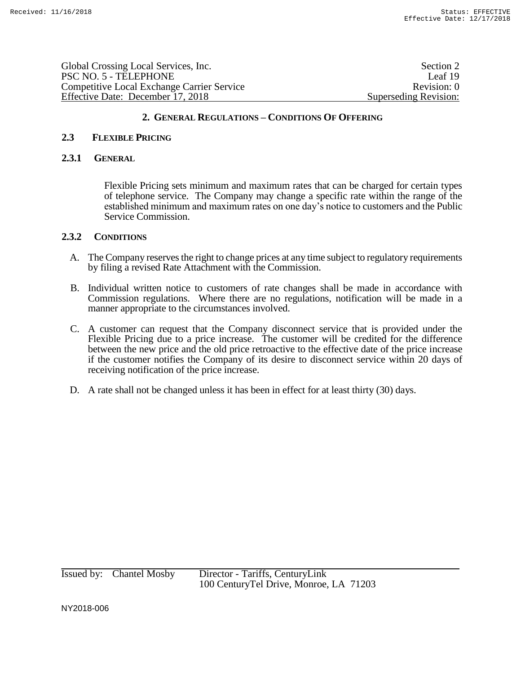| Global Crossing Local Services, Inc.              | Section 2             |
|---------------------------------------------------|-----------------------|
| PSC NO. 5 - TELEPHONE                             | Leaf 19               |
| <b>Competitive Local Exchange Carrier Service</b> | Revision: 0           |
| Effective Date: December 17, 2018                 | Superseding Revision: |
|                                                   |                       |

#### **2.3 FLEXIBLE PRICING**

#### **2.3.1 GENERAL**

Flexible Pricing sets minimum and maximum rates that can be charged for certain types of telephone service. The Company may change a specific rate within the range of the established minimum and maximum rates on one day's notice to customers and the Public Service Commission.

## **2.3.2 CONDITIONS**

- A. The Company reserves the right to change prices at any time subject to regulatory requirements by filing a revised Rate Attachment with the Commission.
- B. Individual written notice to customers of rate changes shall be made in accordance with Commission regulations. Where there are no regulations, notification will be made in a manner appropriate to the circumstances involved.
- C. A customer can request that the Company disconnect service that is provided under the Flexible Pricing due to a price increase. The customer will be credited for the difference between the new price and the old price retroactive to the effective date of the price increase if the customer notifies the Company of its desire to disconnect service within 20 days of receiving notification of the price increase.
- D. A rate shall not be changed unless it has been in effect for at least thirty (30) days.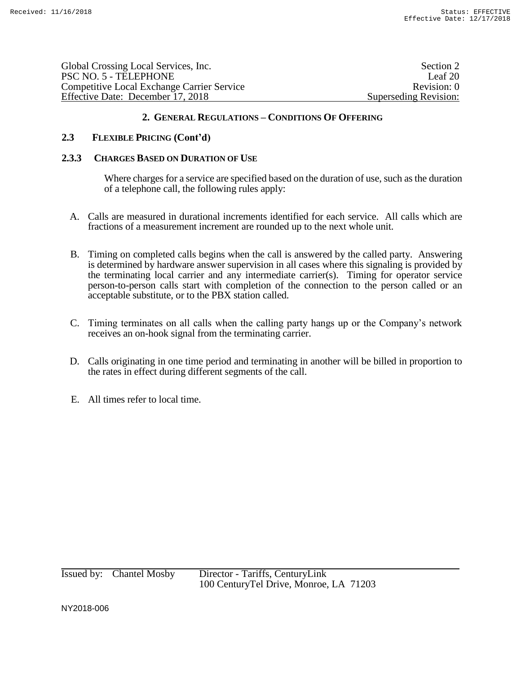| Global Crossing Local Services, Inc.              | Section 2             |
|---------------------------------------------------|-----------------------|
| PSC NO. 5 - TELEPHONE                             | Leaf $201$            |
| <b>Competitive Local Exchange Carrier Service</b> | Revision: 0           |
| Effective Date: December 17, 2018                 | Superseding Revision: |

## **2.3 FLEXIBLE PRICING (Cont'd)**

#### **2.3.3 CHARGES BASED ON DURATION OF USE**

Where charges for a service are specified based on the duration of use, such as the duration of a telephone call, the following rules apply:

- A. Calls are measured in durational increments identified for each service. All calls which are fractions of a measurement increment are rounded up to the next whole unit.
- B. Timing on completed calls begins when the call is answered by the called party. Answering is determined by hardware answer supervision in all cases where this signaling is provided by the terminating local carrier and any intermediate carrier(s). Timing for operator service person-to-person calls start with completion of the connection to the person called or an acceptable substitute, or to the PBX station called.
- C. Timing terminates on all calls when the calling party hangs up or the Company's network receives an on-hook signal from the terminating carrier.
- D. Calls originating in one time period and terminating in another will be billed in proportion to the rates in effect during different segments of the call.
- E. All times refer to local time.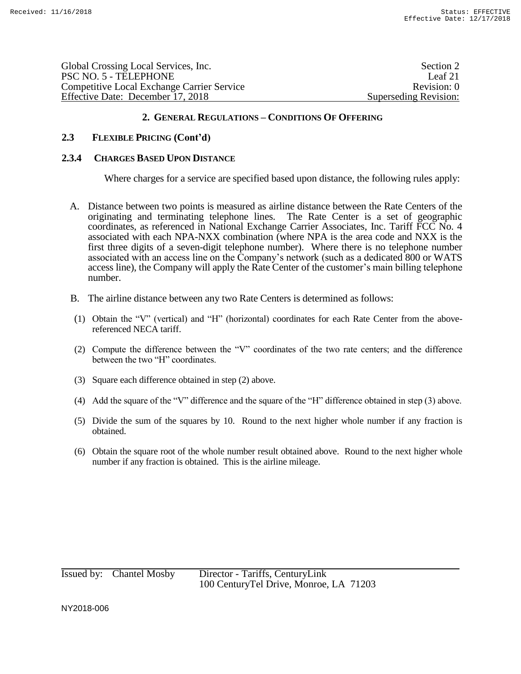| Global Crossing Local Services, Inc.              | Section 2             |
|---------------------------------------------------|-----------------------|
| PSC NO. 5 - TELEPHONE                             | Leaf $21$             |
| <b>Competitive Local Exchange Carrier Service</b> | Revision: 0           |
| Effective Date: December 17, 2018                 | Superseding Revision: |
|                                                   |                       |

## **2.3 FLEXIBLE PRICING (Cont'd)**

#### **2.3.4 CHARGES BASED UPON DISTANCE**

Where charges for a service are specified based upon distance, the following rules apply:

- A. Distance between two points is measured as airline distance between the Rate Centers of the originating and terminating telephone lines. The Rate Center is a set of geographic coordinates, as referenced in National Exchange Carrier Associates, Inc. Tariff FCC No. 4 associated with each NPA-NXX combination (where NPA is the area code and NXX is the first three digits of a seven-digit telephone number). Where there is no telephone number associated with an access line on the Company's network (such as a dedicated 800 or WATS access line), the Company will apply the Rate Center of the customer's main billing telephone number.
- B. The airline distance between any two Rate Centers is determined as follows:
- (1) Obtain the "V" (vertical) and "H" (horizontal) coordinates for each Rate Center from the abovereferenced NECA tariff.
- (2) Compute the difference between the "V" coordinates of the two rate centers; and the difference between the two "H" coordinates.
- (3) Square each difference obtained in step (2) above.
- (4) Add the square of the "V" difference and the square of the "H" difference obtained in step (3) above.
- (5) Divide the sum of the squares by 10. Round to the next higher whole number if any fraction is obtained.
- (6) Obtain the square root of the whole number result obtained above. Round to the next higher whole number if any fraction is obtained. This is the airline mileage.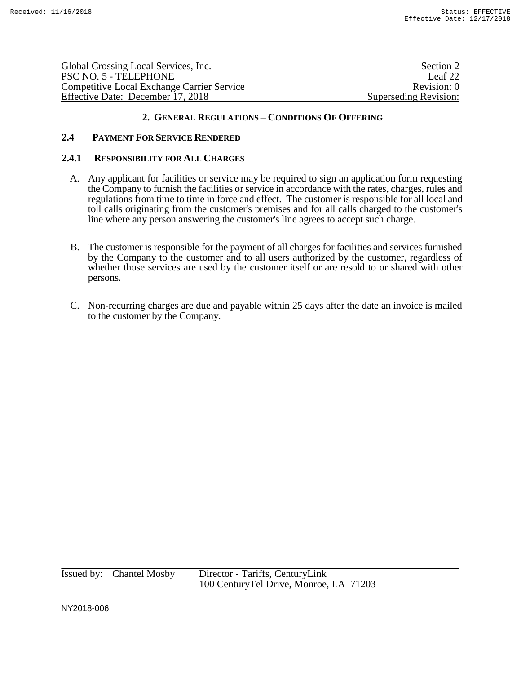| Section 2             |
|-----------------------|
| Leaf 22               |
| Revision: 0           |
| Superseding Revision: |
|                       |

# **2.4 PAYMENT FOR SERVICE RENDERED**

### **2.4.1 RESPONSIBILITY FOR ALL CHARGES**

- A. Any applicant for facilities or service may be required to sign an application form requesting the Company to furnish the facilities or service in accordance with the rates, charges, rules and regulations from time to time in force and effect. The customer is responsible for all local and toll calls originating from the customer's premises and for all calls charged to the customer's line where any person answering the customer's line agrees to accept such charge.
- B. The customer is responsible for the payment of all charges for facilities and services furnished by the Company to the customer and to all users authorized by the customer, regardless of whether those services are used by the customer itself or are resold to or shared with other persons.
- C. Non-recurring charges are due and payable within 25 days after the date an invoice is mailed to the customer by the Company.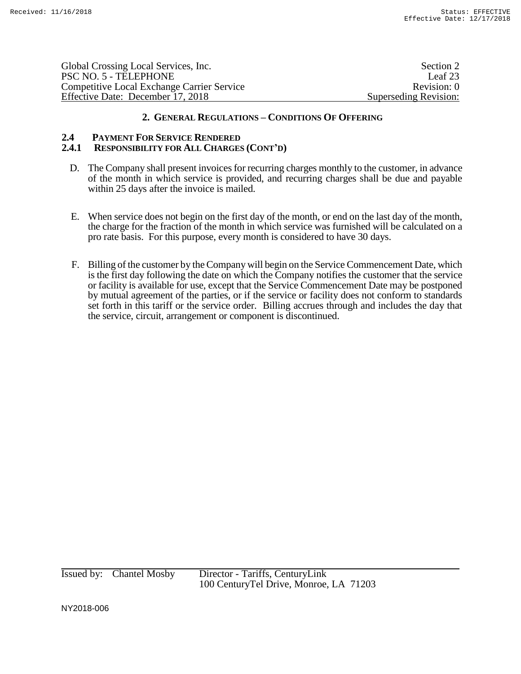| Section 2             |
|-----------------------|
| Leaf 23               |
| Revision: 0           |
| Superseding Revision: |
|                       |

# **2.4 PAYMENT FOR SERVICE RENDERED**

# **2.4.1 RESPONSIBILITY FOR ALL CHARGES (CONT'D)**

- D. The Company shall present invoices for recurring charges monthly to the customer, in advance of the month in which service is provided, and recurring charges shall be due and payable within 25 days after the invoice is mailed.
- E. When service does not begin on the first day of the month, or end on the last day of the month, the charge for the fraction of the month in which service was furnished will be calculated on a pro rate basis. For this purpose, every month is considered to have 30 days.
- F. Billing of the customer by the Company will begin on the Service Commencement Date, which is the first day following the date on which the Company notifies the customer that the service or facility is available for use, except that the Service Commencement Date may be postponed by mutual agreement of the parties, or if the service or facility does not conform to standards set forth in this tariff or the service order. Billing accrues through and includes the day that the service, circuit, arrangement or component is discontinued.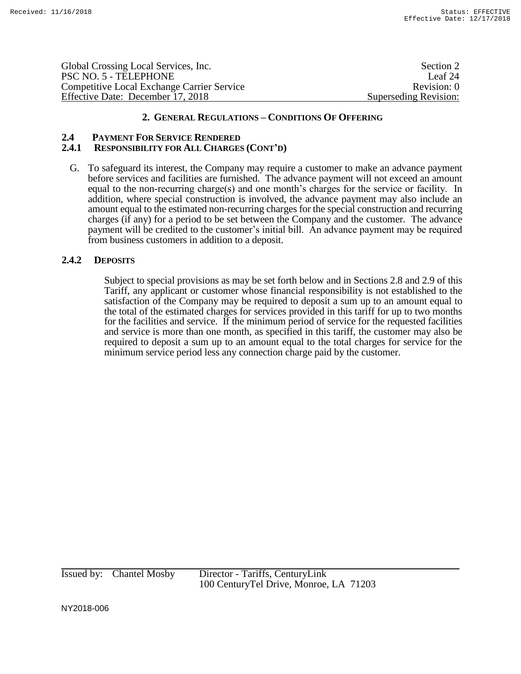| Global Crossing Local Services, Inc.              | Section 2             |
|---------------------------------------------------|-----------------------|
| PSC NO. 5 - TELEPHONE                             | Leaf 24               |
| <b>Competitive Local Exchange Carrier Service</b> | Revision: 0           |
| Effective Date: December 17, 2018                 | Superseding Revision: |

# **2.4 PAYMENT FOR SERVICE RENDERED**

### **2.4.1 RESPONSIBILITY FOR ALL CHARGES (CONT'D)**

G. To safeguard its interest, the Company may require a customer to make an advance payment before services and facilities are furnished. The advance payment will not exceed an amount equal to the non-recurring charge(s) and one month's charges for the service or facility. In addition, where special construction is involved, the advance payment may also include an amount equal to the estimated non-recurring charges for the special construction and recurring charges (if any) for a period to be set between the Company and the customer. The advance payment will be credited to the customer's initial bill. An advance payment may be required from business customers in addition to a deposit.

## **2.4.2 DEPOSITS**

Subject to special provisions as may be set forth below and in Sections 2.8 and 2.9 of this Tariff, any applicant or customer whose financial responsibility is not established to the satisfaction of the Company may be required to deposit a sum up to an amount equal to the total of the estimated charges for services provided in this tariff for up to two months for the facilities and service. If the minimum period of service for the requested facilities and service is more than one month, as specified in this tariff, the customer may also be required to deposit a sum up to an amount equal to the total charges for service for the minimum service period less any connection charge paid by the customer.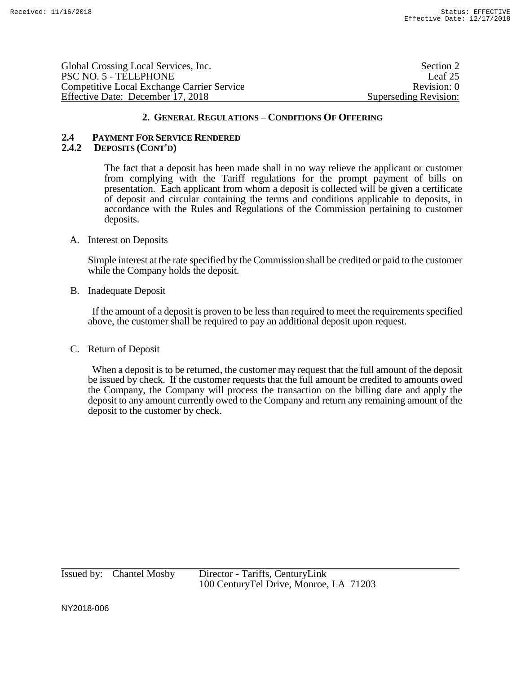| Global Crossing Local Services, Inc.              | Section 2             |
|---------------------------------------------------|-----------------------|
| PSC NO. 5 - TELEPHONE                             | Leaf 25               |
| <b>Competitive Local Exchange Carrier Service</b> | Revision: 0           |
| Effective Date: December 17, 2018                 | Superseding Revision: |

#### **2.4 PAYMENT FOR SERVICE RENDERED 2.4.2 DEPOSITS (CONT'D)**

The fact that a deposit has been made shall in no way relieve the applicant or customer from complying with the Tariff regulations for the prompt payment of bills on presentation. Each applicant from whom a deposit is collected will be given a certificate of deposit and circular containing the terms and conditions applicable to deposits, in accordance with the Rules and Regulations of the Commission pertaining to customer deposits.

#### A. Interest on Deposits

Simple interest at the rate specified by the Commission shall be credited or paid to the customer while the Company holds the deposit.

#### B. Inadequate Deposit

If the amount of a deposit is proven to be less than required to meet the requirements specified above, the customer shall be required to pay an additional deposit upon request.

## C. Return of Deposit

When a deposit is to be returned, the customer may request that the full amount of the deposit be issued by check. If the customer requests that the full amount be credited to amounts owed the Company, the Company will process the transaction on the billing date and apply the deposit to any amount currently owed to the Company and return any remaining amount of the deposit to the customer by check.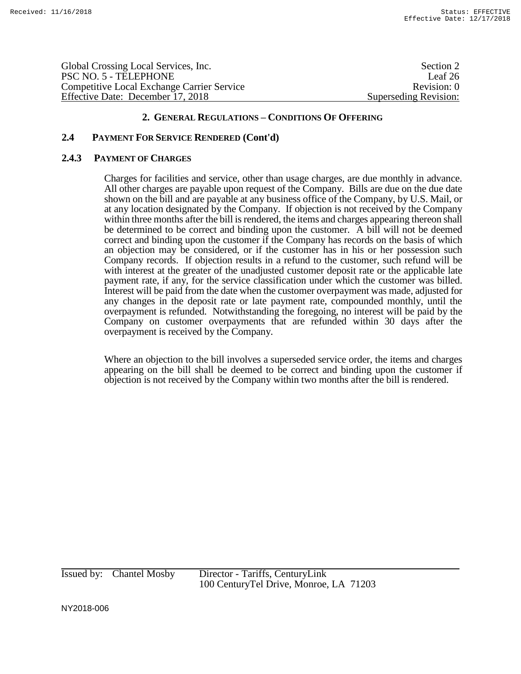Global Crossing Local Services, Inc. Section 2 and Section 2 and Section 2 and Section 2 and Section 2 and Section 2 and Section 2 and Section 2 and Section 2 and Section 2 and Section 2 and Section 2 and Section 2 and Sec PSC NO. 5 - TELEPHONE Leaf 26 Competitive Local Exchange Carrier Service Revision: 0 Effective Date: December 17, 2018 Superseding Revision:

### **2. GENERAL REGULATIONS – CONDITIONS OF OFFERING**

## **2.4 PAYMENT FOR SERVICE RENDERED (Cont'd)**

#### **2.4.3 PAYMENT OF CHARGES**

Charges for facilities and service, other than usage charges, are due monthly in advance. All other charges are payable upon request of the Company. Bills are due on the due date shown on the bill and are payable at any business office of the Company, by U.S. Mail, or at any location designated by the Company. If objection is not received by the Company within three months after the bill is rendered, the items and charges appearing thereon shall be determined to be correct and binding upon the customer. A bill will not be deemed correct and binding upon the customer if the Company has records on the basis of which an objection may be considered, or if the customer has in his or her possession such Company records. If objection results in a refund to the customer, such refund will be with interest at the greater of the unadjusted customer deposit rate or the applicable late payment rate, if any, for the service classification under which the customer was billed. Interest will be paid from the date when the customer overpayment was made, adjusted for any changes in the deposit rate or late payment rate, compounded monthly, until the overpayment is refunded. Notwithstanding the foregoing, no interest will be paid by the Company on customer overpayments that are refunded within 30 days after the overpayment is received by the Company.

Where an objection to the bill involves a superseded service order, the items and charges appearing on the bill shall be deemed to be correct and binding upon the customer if objection is not received by the Company within two months after the bill is rendered.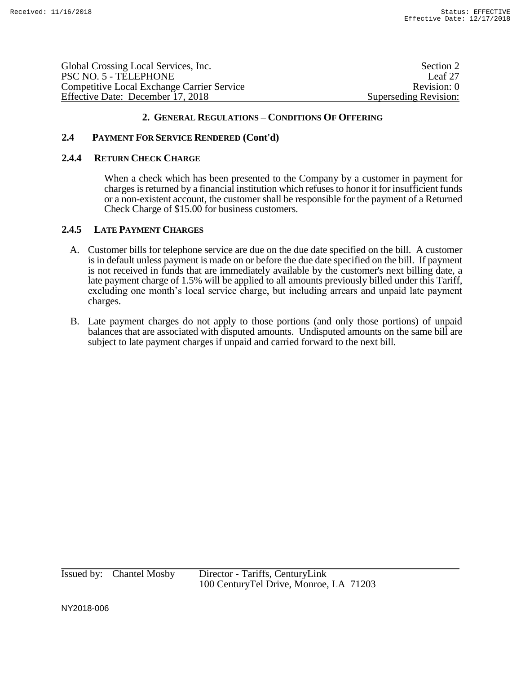| Global Crossing Local Services, Inc.              | Section 2             |
|---------------------------------------------------|-----------------------|
| PSC NO. 5 - TELEPHONE                             | Leaf 27               |
| <b>Competitive Local Exchange Carrier Service</b> | Revision: 0           |
| Effective Date: December 17, 2018                 | Superseding Revision: |
|                                                   |                       |

# **2.4 PAYMENT FOR SERVICE RENDERED (Cont'd)**

### **2.4.4 RETURN CHECK CHARGE**

When a check which has been presented to the Company by a customer in payment for charges is returned by a financial institution which refuses to honor it for insufficient funds or a non-existent account, the customer shall be responsible for the payment of a Returned Check Charge of \$15.00 for business customers.

## **2.4.5 LATE PAYMENT CHARGES**

- A. Customer bills for telephone service are due on the due date specified on the bill. A customer is in default unless payment is made on or before the due date specified on the bill. If payment is not received in funds that are immediately available by the customer's next billing date, a late payment charge of 1.5% will be applied to all amounts previously billed under this Tariff, excluding one month's local service charge, but including arrears and unpaid late payment charges.
- B. Late payment charges do not apply to those portions (and only those portions) of unpaid balances that are associated with disputed amounts. Undisputed amounts on the same bill are subject to late payment charges if unpaid and carried forward to the next bill.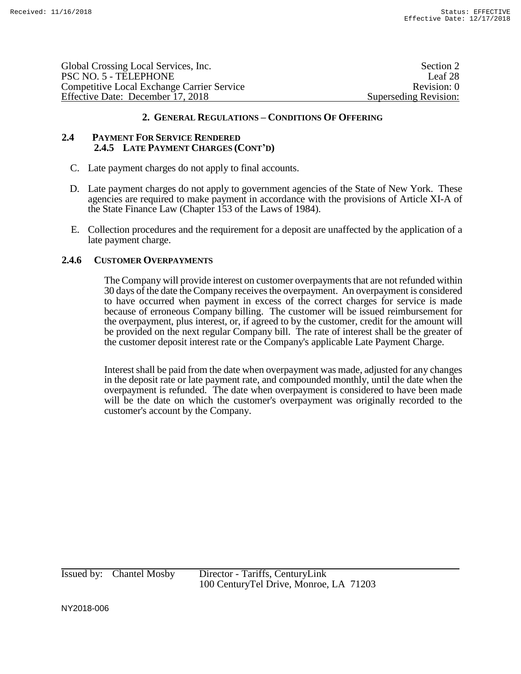| Global Crossing Local Services, Inc.              | Section 2             |
|---------------------------------------------------|-----------------------|
| PSC NO. 5 - TELEPHONE                             | Leaf 28               |
| <b>Competitive Local Exchange Carrier Service</b> | Revision: 0           |
| Effective Date: December 17, 2018                 | Superseding Revision: |

### **2.4 PAYMENT FOR SERVICE RENDERED 2.4.5 LATE PAYMENT CHARGES (CONT'D)**

- C. Late payment charges do not apply to final accounts.
- D. Late payment charges do not apply to government agencies of the State of New York. These agencies are required to make payment in accordance with the provisions of Article XI-A of the State Finance Law (Chapter 153 of the Laws of 1984).
- E. Collection procedures and the requirement for a deposit are unaffected by the application of a late payment charge.

# **2.4.6 CUSTOMER OVERPAYMENTS**

The Company will provide interest on customer overpayments that are not refunded within 30 days of the date the Company receives the overpayment. An overpayment is considered to have occurred when payment in excess of the correct charges for service is made because of erroneous Company billing. The customer will be issued reimbursement for the overpayment, plus interest, or, if agreed to by the customer, credit for the amount will be provided on the next regular Company bill. The rate of interest shall be the greater of the customer deposit interest rate or the Company's applicable Late Payment Charge.

Interest shall be paid from the date when overpayment was made, adjusted for any changes in the deposit rate or late payment rate, and compounded monthly, until the date when the overpayment is refunded. The date when overpayment is considered to have been made will be the date on which the customer's overpayment was originally recorded to the customer's account by the Company.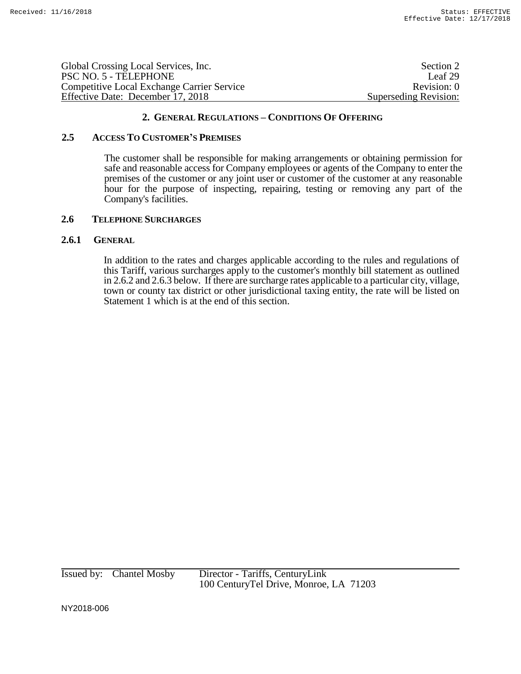| Global Crossing Local Services, Inc.              | Section 2             |
|---------------------------------------------------|-----------------------|
| PSC NO. 5 - TELEPHONE                             | Leaf 29               |
| <b>Competitive Local Exchange Carrier Service</b> | Revision: 0           |
| Effective Date: December 17, 2018                 | Superseding Revision: |

### **2.5 ACCESS TO CUSTOMER'S PREMISES**

The customer shall be responsible for making arrangements or obtaining permission for safe and reasonable access for Company employees or agents of the Company to enter the premises of the customer or any joint user or customer of the customer at any reasonable hour for the purpose of inspecting, repairing, testing or removing any part of the Company's facilities.

#### **2.6 TELEPHONE SURCHARGES**

# **2.6.1 GENERAL**

In addition to the rates and charges applicable according to the rules and regulations of this Tariff, various surcharges apply to the customer's monthly bill statement as outlined in 2.6.2 and 2.6.3 below. If there are surcharge rates applicable to a particular city, village, town or county tax district or other jurisdictional taxing entity, the rate will be listed on Statement 1 which is at the end of this section.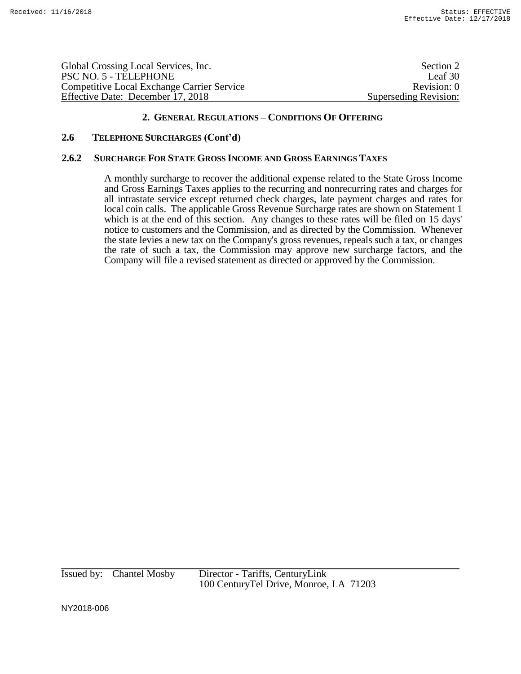| Global Crossing Local Services, Inc.              | Section 2             |
|---------------------------------------------------|-----------------------|
| PSC NO. 5 - TELEPHONE                             | Leaf 30               |
| <b>Competitive Local Exchange Carrier Service</b> | Revision: 0           |
| Effective Date: December 17, 2018                 | Superseding Revision: |

## **2.6 TELEPHONE SURCHARGES (Cont'd)**

#### **2.6.2 SURCHARGE FOR STATE GROSS INCOME AND GROSS EARNINGS TAXES**

A monthly surcharge to recover the additional expense related to the State Gross Income and Gross Earnings Taxes applies to the recurring and nonrecurring rates and charges for all intrastate service except returned check charges, late payment charges and rates for local coin calls. The applicable Gross Revenue Surcharge rates are shown on Statement 1 which is at the end of this section. Any changes to these rates will be filed on 15 days' notice to customers and the Commission, and as directed by the Commission. Whenever the state levies a new tax on the Company's gross revenues, repeals such a tax, or changes the rate of such a tax, the Commission may approve new surcharge factors, and the Company will file a revised statement as directed or approved by the Commission.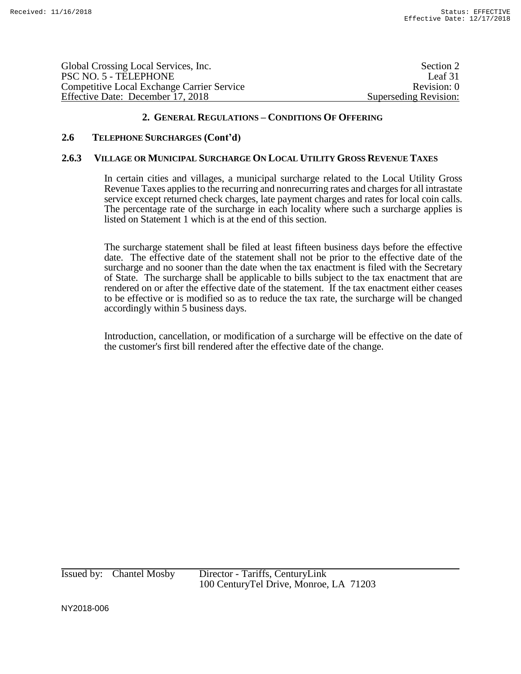| Global Crossing Local Services, Inc.              | Section 2             |
|---------------------------------------------------|-----------------------|
| PSC NO. 5 - TELEPHONE                             | Leaf 31               |
| <b>Competitive Local Exchange Carrier Service</b> | Revision: 0           |
| Effective Date: December 17, 2018                 | Superseding Revision: |
|                                                   |                       |

# **2.6 TELEPHONE SURCHARGES (Cont'd)**

# **2.6.3 VILLAGE OR MUNICIPAL SURCHARGE ON LOCAL UTILITY GROSS REVENUE TAXES**

In certain cities and villages, a municipal surcharge related to the Local Utility Gross Revenue Taxes applies to the recurring and nonrecurring rates and charges for all intrastate service except returned check charges, late payment charges and rates for local coin calls. The percentage rate of the surcharge in each locality where such a surcharge applies is listed on Statement 1 which is at the end of this section.

The surcharge statement shall be filed at least fifteen business days before the effective date. The effective date of the statement shall not be prior to the effective date of the surcharge and no sooner than the date when the tax enactment is filed with the Secretary of State. The surcharge shall be applicable to bills subject to the tax enactment that are rendered on or after the effective date of the statement. If the tax enactment either ceases to be effective or is modified so as to reduce the tax rate, the surcharge will be changed accordingly within 5 business days.

Introduction, cancellation, or modification of a surcharge will be effective on the date of the customer's first bill rendered after the effective date of the change.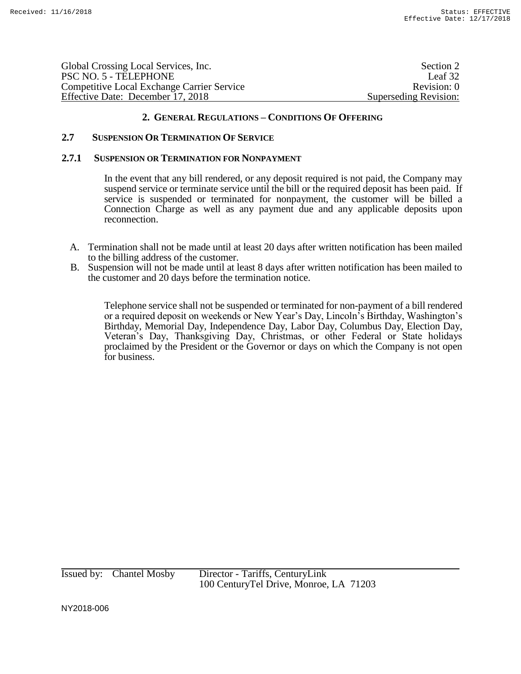| Global Crossing Local Services, Inc.              | Section 2             |
|---------------------------------------------------|-----------------------|
| PSC NO. 5 - TELEPHONE                             | Leaf 32               |
| <b>Competitive Local Exchange Carrier Service</b> | Revision: 0           |
| Effective Date: December 17, 2018                 | Superseding Revision: |

#### **2.7 SUSPENSION OR TERMINATION OF SERVICE**

#### **2.7.1 SUSPENSION OR TERMINATION FOR NONPAYMENT**

In the event that any bill rendered, or any deposit required is not paid, the Company may suspend service or terminate service until the bill or the required deposit has been paid. If service is suspended or terminated for nonpayment, the customer will be billed a Connection Charge as well as any payment due and any applicable deposits upon reconnection.

- A. Termination shall not be made until at least 20 days after written notification has been mailed to the billing address of the customer.
- B. Suspension will not be made until at least 8 days after written notification has been mailed to the customer and 20 days before the termination notice.

Telephone service shall not be suspended or terminated for non-payment of a bill rendered or a required deposit on weekends or New Year's Day, Lincoln's Birthday, Washington's Birthday, Memorial Day, Independence Day, Labor Day, Columbus Day, Election Day, Veteran's Day, Thanksgiving Day, Christmas, or other Federal or State holidays proclaimed by the President or the Governor or days on which the Company is not open for business.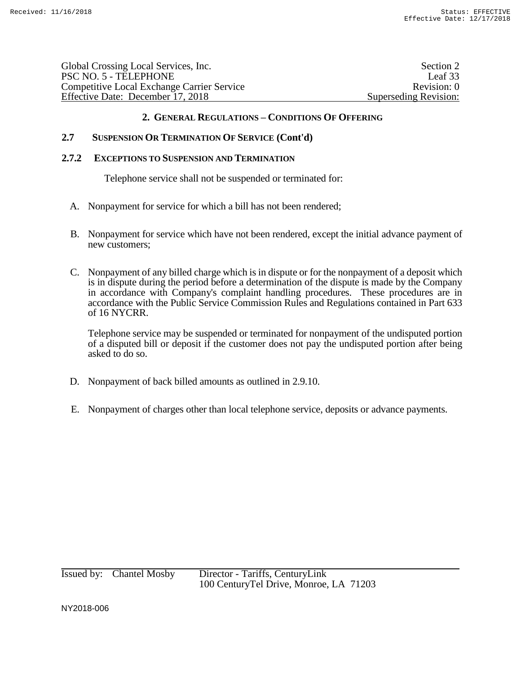| Global Crossing Local Services, Inc.              | Section 2             |
|---------------------------------------------------|-----------------------|
| PSC NO. 5 - TELEPHONE                             | Leaf 33               |
| <b>Competitive Local Exchange Carrier Service</b> | Revision: 0           |
| Effective Date: December 17, 2018                 | Superseding Revision: |
|                                                   |                       |

# **2.7 SUSPENSION OR TERMINATION OF SERVICE (Cont'd)**

#### **2.7.2 EXCEPTIONS TO SUSPENSION AND TERMINATION**

Telephone service shall not be suspended or terminated for:

- A. Nonpayment for service for which a bill has not been rendered;
- B. Nonpayment for service which have not been rendered, except the initial advance payment of new customers;
- C. Nonpayment of any billed charge which is in dispute or for the nonpayment of a deposit which is in dispute during the period before a determination of the dispute is made by the Company in accordance with Company's complaint handling procedures. These procedures are in accordance with the Public Service Commission Rules and Regulations contained in Part 633 of 16 NYCRR.

Telephone service may be suspended or terminated for nonpayment of the undisputed portion of a disputed bill or deposit if the customer does not pay the undisputed portion after being asked to do so.

- D. Nonpayment of back billed amounts as outlined in 2.9.10.
- E. Nonpayment of charges other than local telephone service, deposits or advance payments.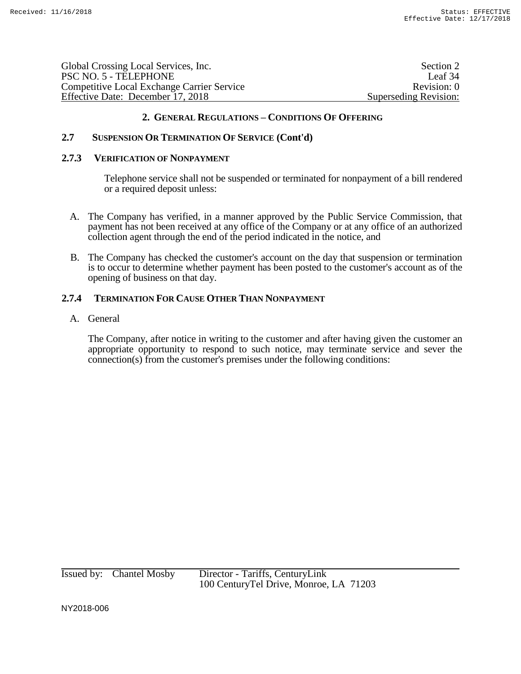| Section 2             |
|-----------------------|
| Leaf 34               |
| Revision: 0           |
| Superseding Revision: |
|                       |

# **2.7 SUSPENSION OR TERMINATION OF SERVICE (Cont'd)**

#### **2.7.3 VERIFICATION OF NONPAYMENT**

Telephone service shall not be suspended or terminated for nonpayment of a bill rendered or a required deposit unless:

- A. The Company has verified, in a manner approved by the Public Service Commission, that payment has not been received at any office of the Company or at any office of an authorized collection agent through the end of the period indicated in the notice, and
- B. The Company has checked the customer's account on the day that suspension or termination is to occur to determine whether payment has been posted to the customer's account as of the opening of business on that day.

# **2.7.4 TERMINATION FOR CAUSE OTHER THAN NONPAYMENT**

## A. General

The Company, after notice in writing to the customer and after having given the customer an appropriate opportunity to respond to such notice, may terminate service and sever the connection(s) from the customer's premises under the following conditions: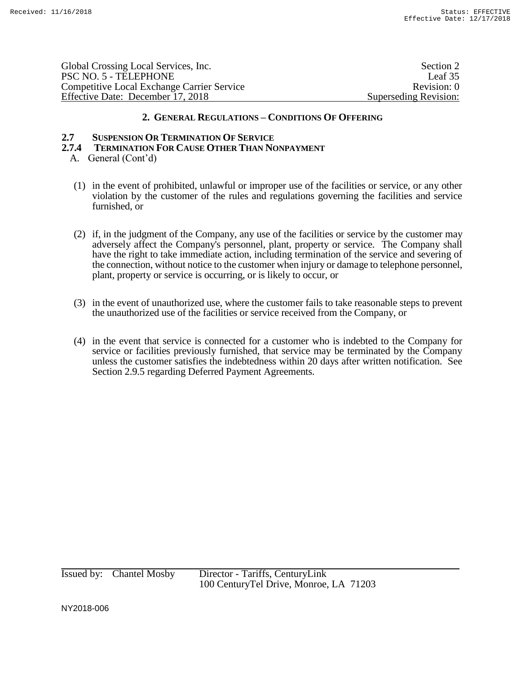| Global Crossing Local Services, Inc.              | Section 2             |
|---------------------------------------------------|-----------------------|
| PSC NO. 5 - TELEPHONE                             | Leaf 35               |
| <b>Competitive Local Exchange Carrier Service</b> | Revision: 0           |
| Effective Date: December 17, 2018                 | Superseding Revision: |

#### **2.7 SUSPENSION OR TERMINATION OF SERVICE**

- **2.7.4 TERMINATION FOR CAUSE OTHER THAN NONPAYMENT**
	- A. General (Cont'd)
		- (1) in the event of prohibited, unlawful or improper use of the facilities or service, or any other violation by the customer of the rules and regulations governing the facilities and service furnished, or
		- (2) if, in the judgment of the Company, any use of the facilities or service by the customer may adversely affect the Company's personnel, plant, property or service. The Company shall have the right to take immediate action, including termination of the service and severing of the connection, without notice to the customer when injury or damage to telephone personnel, plant, property or service is occurring, or is likely to occur, or
		- (3) in the event of unauthorized use, where the customer fails to take reasonable steps to prevent the unauthorized use of the facilities or service received from the Company, or
		- (4) in the event that service is connected for a customer who is indebted to the Company for service or facilities previously furnished, that service may be terminated by the Company unless the customer satisfies the indebtedness within 20 days after written notification. See Section 2.9.5 regarding Deferred Payment Agreements.

Issued by: Chantel Mosby Director - Tariffs, CenturyLink 100 CenturyTel Drive, Monroe, LA 71203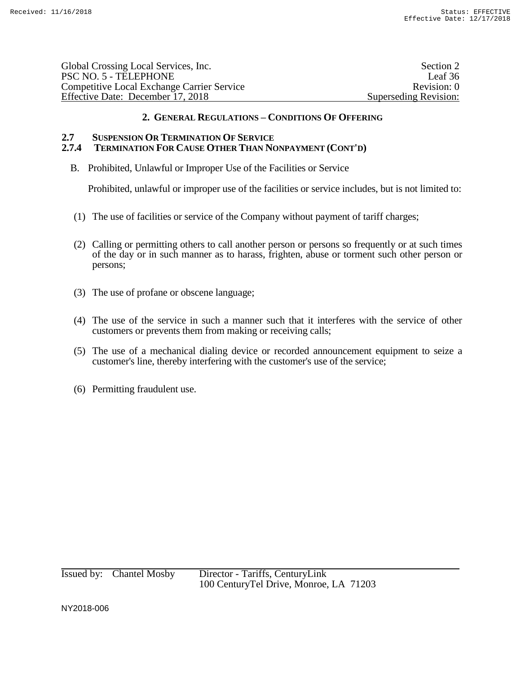| Section 2             |
|-----------------------|
| Leaf 36               |
| Revision: 0           |
| Superseding Revision: |
|                       |

# **2.7 SUSPENSION OR TERMINATION OF SERVICE**

# **2.7.4 TERMINATION FOR CAUSE OTHER THAN NONPAYMENT (CONT'D)**

B. Prohibited, Unlawful or Improper Use of the Facilities or Service

Prohibited, unlawful or improper use of the facilities or service includes, but is not limited to:

- (1) The use of facilities or service of the Company without payment of tariff charges;
- (2) Calling or permitting others to call another person or persons so frequently or at such times of the day or in such manner as to harass, frighten, abuse or torment such other person or persons;
- (3) The use of profane or obscene language;
- (4) The use of the service in such a manner such that it interferes with the service of other customers or prevents them from making or receiving calls;
- (5) The use of a mechanical dialing device or recorded announcement equipment to seize a customer's line, thereby interfering with the customer's use of the service;
- (6) Permitting fraudulent use.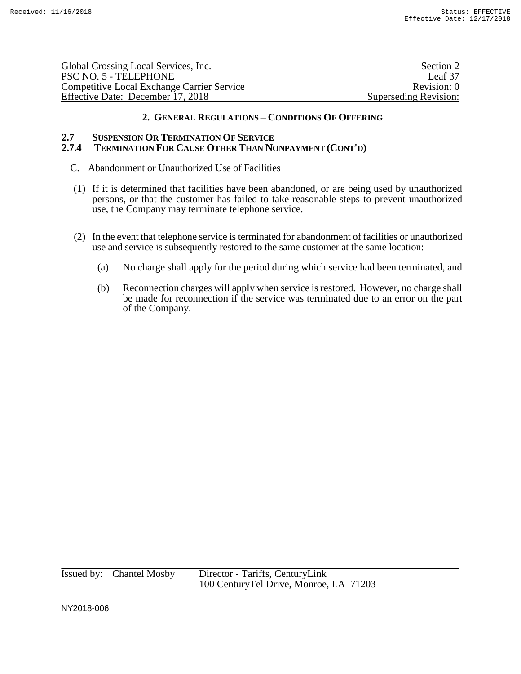| Global Crossing Local Services, Inc.       | Section 2             |
|--------------------------------------------|-----------------------|
| PSC NO. 5 - TELEPHONE                      | Leaf 37               |
| Competitive Local Exchange Carrier Service | Revision: 0           |
| Effective Date: December 17, 2018          | Superseding Revision: |

#### **2.7 SUSPENSION OR TERMINATION OF SERVICE 2.7.4 TERMINATION FOR CAUSE OTHER THAN NONPAYMENT (CONT'D)**

- C. Abandonment or Unauthorized Use of Facilities
- (1) If it is determined that facilities have been abandoned, or are being used by unauthorized persons, or that the customer has failed to take reasonable steps to prevent unauthorized use, the Company may terminate telephone service.
- (2) In the event that telephone service is terminated for abandonment of facilities or unauthorized use and service is subsequently restored to the same customer at the same location:
	- (a) No charge shall apply for the period during which service had been terminated, and
	- (b) Reconnection charges will apply when service is restored. However, no charge shall be made for reconnection if the service was terminated due to an error on the part of the Company.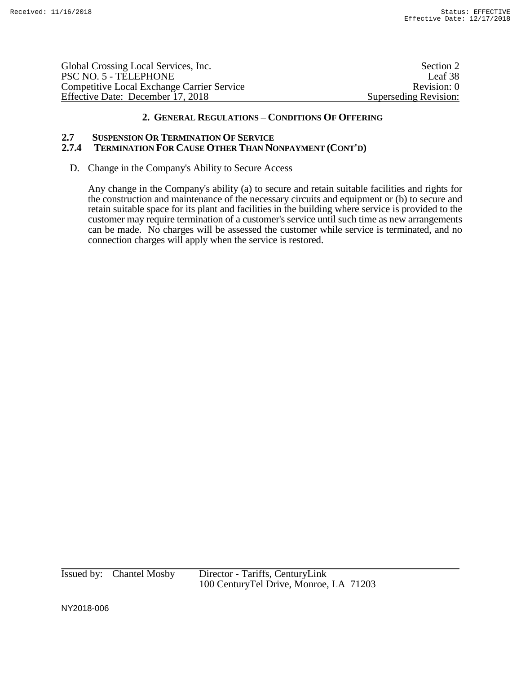Global Crossing Local Services, Inc. Section 2 PSC NO. 5 - TELEPHONE Leaf 38 Competitive Local Exchange Carrier Service Revision: 0 Effective Date: December 17, 2018 Superseding Revision:

# **2. GENERAL REGULATIONS – CONDITIONS OF OFFERING**

# **2.7 SUSPENSION OR TERMINATION OF SERVICE**

# **2.7.4 TERMINATION FOR CAUSE OTHER THAN NONPAYMENT (CONT'D)**

D. Change in the Company's Ability to Secure Access

Any change in the Company's ability (a) to secure and retain suitable facilities and rights for the construction and maintenance of the necessary circuits and equipment or (b) to secure and retain suitable space for its plant and facilities in the building where service is provided to the customer may require termination of a customer's service until such time as new arrangements can be made. No charges will be assessed the customer while service is terminated, and no connection charges will apply when the service is restored.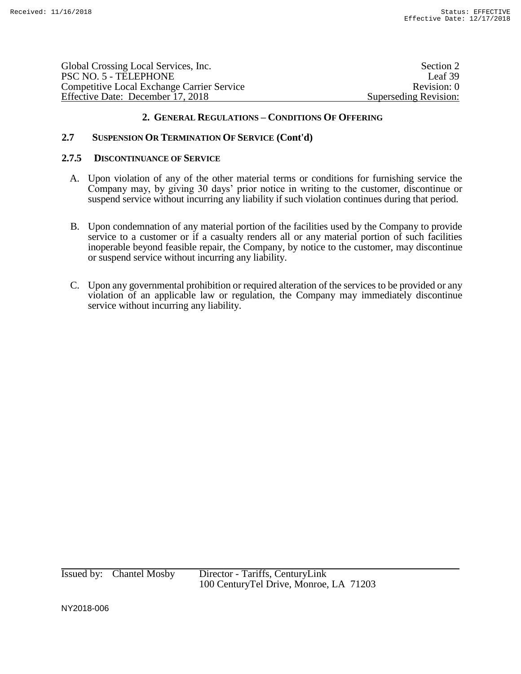| Global Crossing Local Services, Inc.       | Section 2             |
|--------------------------------------------|-----------------------|
| PSC NO. 5 - TELEPHONE                      | Leaf 39               |
| Competitive Local Exchange Carrier Service | Revision: 0           |
| Effective Date: December 17, 2018          | Superseding Revision: |

# **2.7 SUSPENSION OR TERMINATION OF SERVICE (Cont'd)**

#### **2.7.5 DISCONTINUANCE OF SERVICE**

- A. Upon violation of any of the other material terms or conditions for furnishing service the Company may, by giving 30 days' prior notice in writing to the customer, discontinue or suspend service without incurring any liability if such violation continues during that period.
- B. Upon condemnation of any material portion of the facilities used by the Company to provide service to a customer or if a casualty renders all or any material portion of such facilities inoperable beyond feasible repair, the Company, by notice to the customer, may discontinue or suspend service without incurring any liability.
- C. Upon any governmental prohibition or required alteration of the services to be provided or any violation of an applicable law or regulation, the Company may immediately discontinue service without incurring any liability.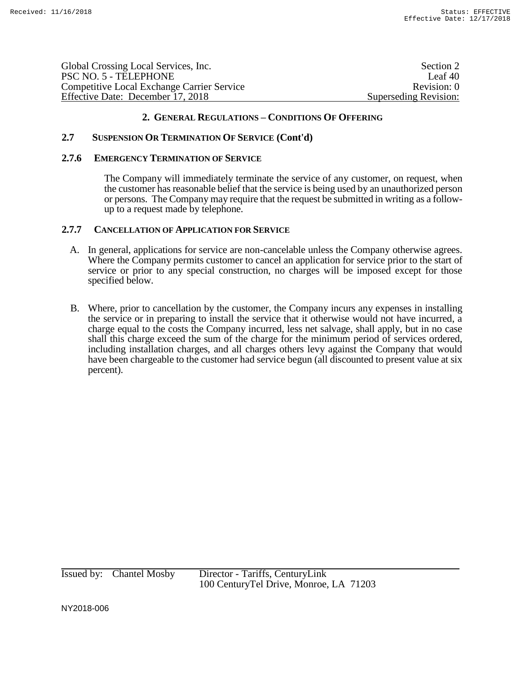| Global Crossing Local Services, Inc.              | Section 2             |
|---------------------------------------------------|-----------------------|
| PSC NO. 5 - TELEPHONE                             | Leaf 40               |
| <b>Competitive Local Exchange Carrier Service</b> | Revision: 0           |
| Effective Date: December 17, 2018                 | Superseding Revision: |

# **2.7 SUSPENSION OR TERMINATION OF SERVICE (Cont'd)**

#### **2.7.6 EMERGENCY TERMINATION OF SERVICE**

The Company will immediately terminate the service of any customer, on request, when the customer has reasonable belief that the service is being used by an unauthorized person or persons. The Company may require that the request be submitted in writing as a followup to a request made by telephone.

#### **2.7.7 CANCELLATION OF APPLICATION FOR SERVICE**

- A. In general, applications for service are non-cancelable unless the Company otherwise agrees. Where the Company permits customer to cancel an application for service prior to the start of service or prior to any special construction, no charges will be imposed except for those specified below.
- B. Where, prior to cancellation by the customer, the Company incurs any expenses in installing the service or in preparing to install the service that it otherwise would not have incurred, a charge equal to the costs the Company incurred, less net salvage, shall apply, but in no case shall this charge exceed the sum of the charge for the minimum period of services ordered, including installation charges, and all charges others levy against the Company that would have been chargeable to the customer had service begun (all discounted to present value at six percent).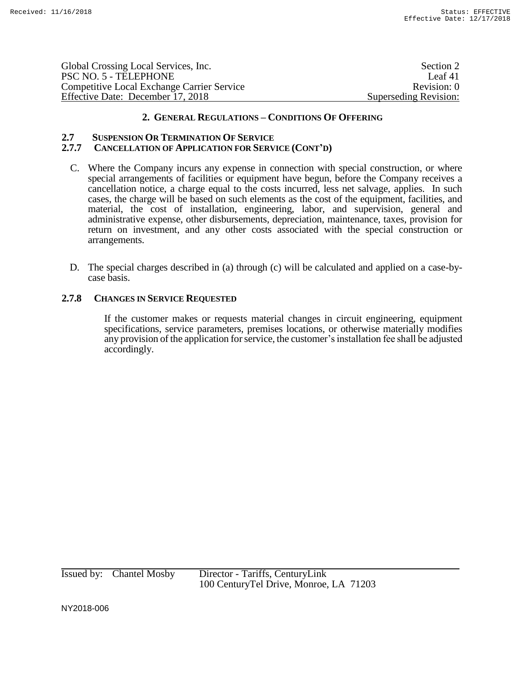| Global Crossing Local Services, Inc.              | Section 2             |
|---------------------------------------------------|-----------------------|
| PSC NO. 5 - TELEPHONE                             | Leaf 41               |
| <b>Competitive Local Exchange Carrier Service</b> | Revision: 0           |
| Effective Date: December 17, 2018                 | Superseding Revision: |

#### **2.7 SUSPENSION OR TERMINATION OF SERVICE 2.7.7 CANCELLATION OF APPLICATION FOR SERVICE (CONT'D)**

- C. Where the Company incurs any expense in connection with special construction, or where special arrangements of facilities or equipment have begun, before the Company receives a cancellation notice, a charge equal to the costs incurred, less net salvage, applies. In such cases, the charge will be based on such elements as the cost of the equipment, facilities, and material, the cost of installation, engineering, labor, and supervision, general and administrative expense, other disbursements, depreciation, maintenance, taxes, provision for return on investment, and any other costs associated with the special construction or arrangements.
- D. The special charges described in (a) through (c) will be calculated and applied on a case-bycase basis.

# **2.7.8 CHANGES IN SERVICE REQUESTED**

If the customer makes or requests material changes in circuit engineering, equipment specifications, service parameters, premises locations, or otherwise materially modifies any provision of the application for service, the customer's installation fee shall be adjusted accordingly.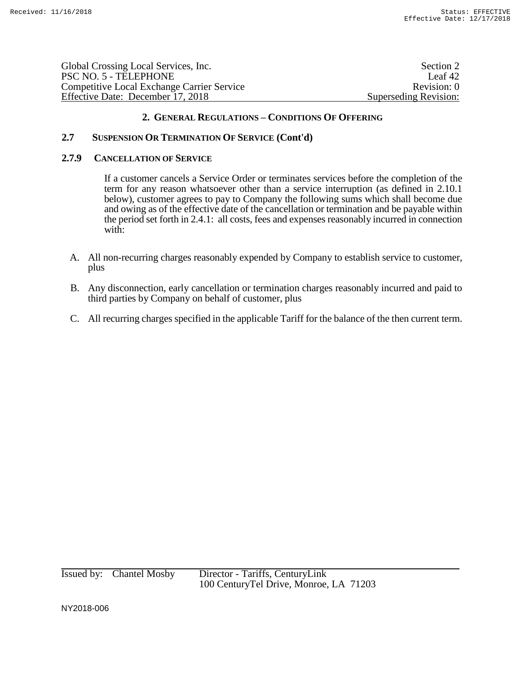| Section 2             |
|-----------------------|
| Leaf $42$             |
| Revision: 0           |
| Superseding Revision: |
|                       |

# **2.7 SUSPENSION OR TERMINATION OF SERVICE (Cont'd)**

# **2.7.9 CANCELLATION OF SERVICE**

If a customer cancels a Service Order or terminates services before the completion of the term for any reason whatsoever other than a service interruption (as defined in 2.10.1 below), customer agrees to pay to Company the following sums which shall become due and owing as of the effective date of the cancellation or termination and be payable within the period set forth in 2.4.1: all costs, fees and expenses reasonably incurred in connection with:

- A. All non-recurring charges reasonably expended by Company to establish service to customer, plus
- B. Any disconnection, early cancellation or termination charges reasonably incurred and paid to third parties by Company on behalf of customer, plus
- C. All recurring charges specified in the applicable Tariff for the balance of the then current term.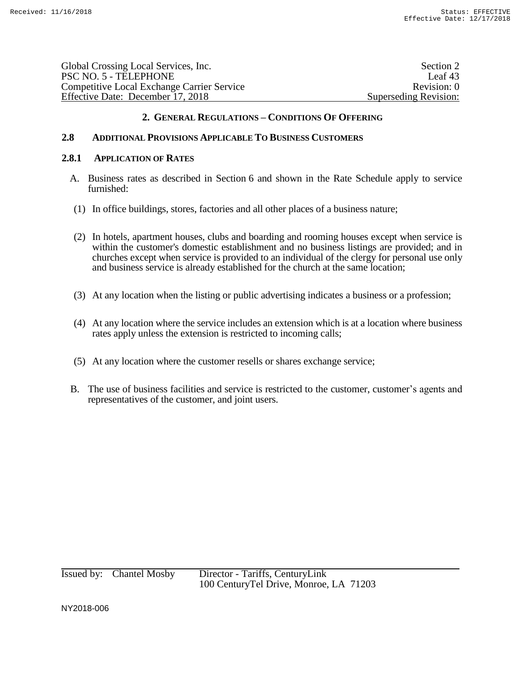| Global Crossing Local Services, Inc.              | Section 2             |
|---------------------------------------------------|-----------------------|
| PSC NO. 5 - TELEPHONE                             | Leaf 43               |
| <b>Competitive Local Exchange Carrier Service</b> | Revision: 0           |
| Effective Date: December 17, 2018                 | Superseding Revision: |
|                                                   |                       |

# **2.8 ADDITIONAL PROVISIONS APPLICABLE TO BUSINESS CUSTOMERS**

#### **2.8.1 APPLICATION OF RATES**

- A. Business rates as described in Section 6 and shown in the Rate Schedule apply to service furnished:
- (1) In office buildings, stores, factories and all other places of a business nature;
- (2) In hotels, apartment houses, clubs and boarding and rooming houses except when service is within the customer's domestic establishment and no business listings are provided; and in churches except when service is provided to an individual of the clergy for personal use only and business service is already established for the church at the same location;
- (3) At any location when the listing or public advertising indicates a business or a profession;
- (4) At any location where the service includes an extension which is at a location where business rates apply unless the extension is restricted to incoming calls;
- (5) At any location where the customer resells or shares exchange service;
- B. The use of business facilities and service is restricted to the customer, customer's agents and representatives of the customer, and joint users.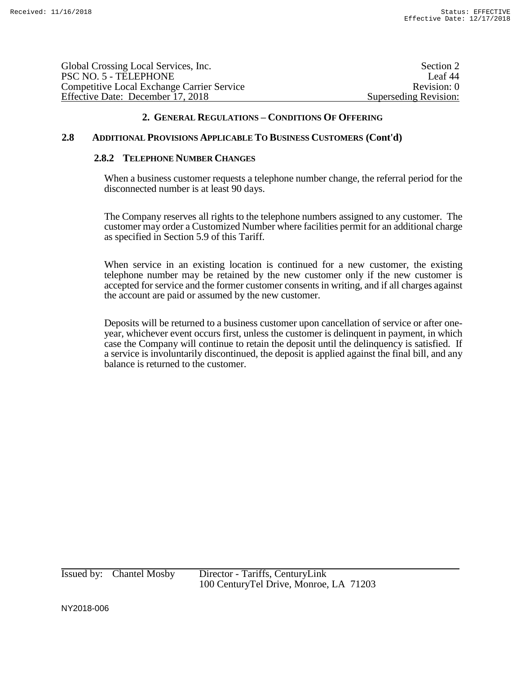| Global Crossing Local Services, Inc.              | Section 2             |
|---------------------------------------------------|-----------------------|
| PSC NO. 5 - TELEPHONE                             | Leaf 44               |
| <b>Competitive Local Exchange Carrier Service</b> | Revision: 0           |
| Effective Date: December 17, 2018                 | Superseding Revision: |

## **2.8 ADDITIONAL PROVISIONS APPLICABLE TO BUSINESS CUSTOMERS (Cont'd)**

#### **2.8.2 TELEPHONE NUMBER CHANGES**

When a business customer requests a telephone number change, the referral period for the disconnected number is at least 90 days.

The Company reserves all rights to the telephone numbers assigned to any customer. The customer may order a Customized Number where facilities permit for an additional charge as specified in Section 5.9 of this Tariff.

When service in an existing location is continued for a new customer, the existing telephone number may be retained by the new customer only if the new customer is accepted for service and the former customer consents in writing, and if all charges against the account are paid or assumed by the new customer.

Deposits will be returned to a business customer upon cancellation of service or after oneyear, whichever event occurs first, unless the customer is delinquent in payment, in which case the Company will continue to retain the deposit until the delinquency is satisfied. If a service is involuntarily discontinued, the deposit is applied against the final bill, and any balance is returned to the customer.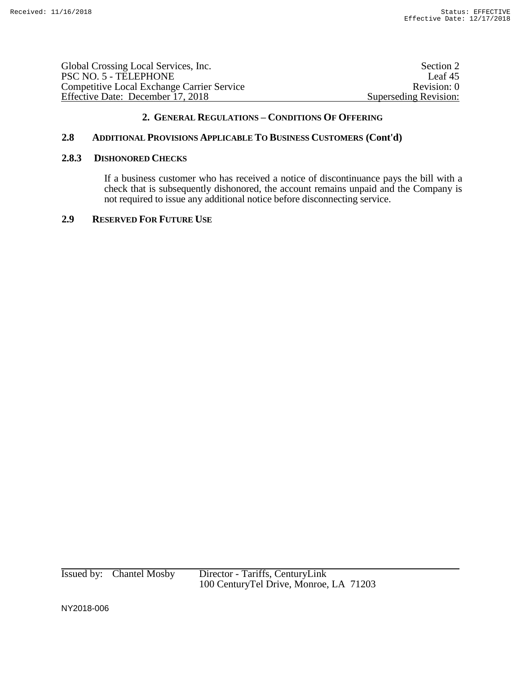| Global Crossing Local Services, Inc.              | Section 2             |
|---------------------------------------------------|-----------------------|
| PSC NO. 5 - TELEPHONE                             | Leaf $45$             |
| <b>Competitive Local Exchange Carrier Service</b> | Revision: 0           |
| Effective Date: December 17, 2018                 | Superseding Revision: |
|                                                   |                       |

# **2.8 ADDITIONAL PROVISIONS APPLICABLE TO BUSINESS CUSTOMERS (Cont'd)**

#### **2.8.3 DISHONORED CHECKS**

If a business customer who has received a notice of discontinuance pays the bill with a check that is subsequently dishonored, the account remains unpaid and the Company is not required to issue any additional notice before disconnecting service.

# **2.9 RESERVED FOR FUTURE USE**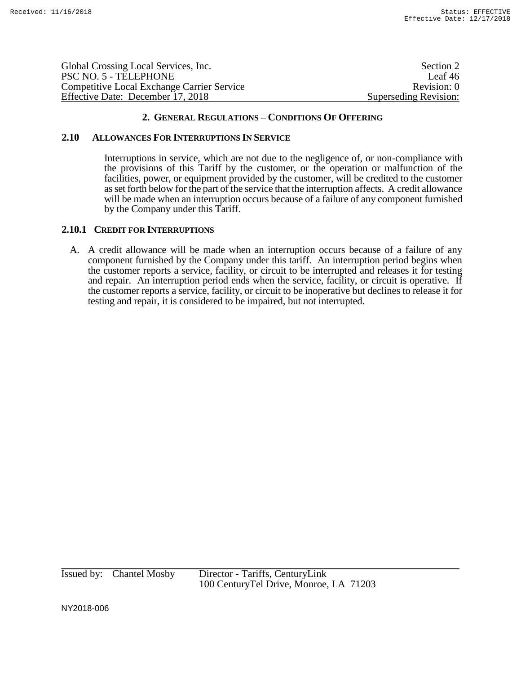| Global Crossing Local Services, Inc.       | Section 2             |
|--------------------------------------------|-----------------------|
| PSC NO. 5 - TELEPHONE                      | Leaf 46               |
| Competitive Local Exchange Carrier Service | Revision: 0           |
| Effective Date: December 17, 2018          | Superseding Revision: |

#### **2.10 ALLOWANCES FOR INTERRUPTIONS IN SERVICE**

Interruptions in service, which are not due to the negligence of, or non-compliance with the provisions of this Tariff by the customer, or the operation or malfunction of the facilities, power, or equipment provided by the customer, will be credited to the customer as set forth below for the part of the service that the interruption affects. A credit allowance will be made when an interruption occurs because of a failure of any component furnished by the Company under this Tariff.

#### **2.10.1 CREDIT FOR INTERRUPTIONS**

A. A credit allowance will be made when an interruption occurs because of a failure of any component furnished by the Company under this tariff. An interruption period begins when the customer reports a service, facility, or circuit to be interrupted and releases it for testing and repair. An interruption period ends when the service, facility, or circuit is operative. If the customer reports a service, facility, or circuit to be inoperative but declines to release it for testing and repair, it is considered to be impaired, but not interrupted.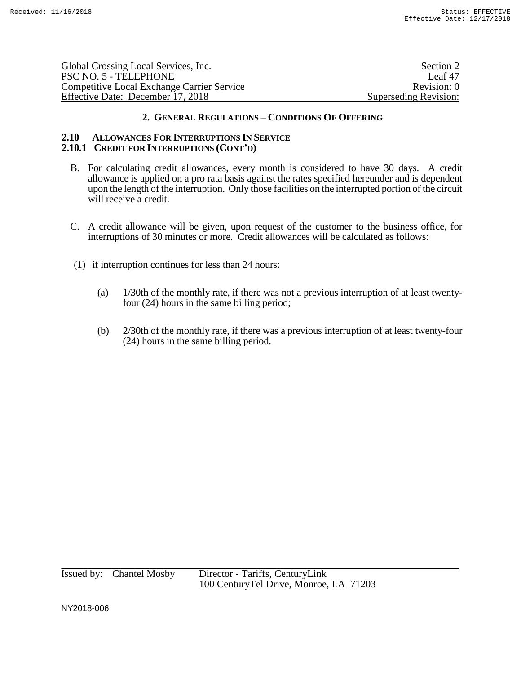| Global Crossing Local Services, Inc.              | Section 2             |
|---------------------------------------------------|-----------------------|
| PSC NO. 5 - TELEPHONE                             | Leaf $47$             |
| <b>Competitive Local Exchange Carrier Service</b> | Revision: 0           |
| Effective Date: December 17, 2018                 | Superseding Revision: |

#### **2.10 ALLOWANCES FOR INTERRUPTIONS IN SERVICE 2.10.1 CREDIT FOR INTERRUPTIONS (CONT'D)**

- B. For calculating credit allowances, every month is considered to have 30 days. A credit allowance is applied on a pro rata basis against the rates specified hereunder and is dependent upon the length of the interruption. Only those facilities on the interrupted portion of the circuit will receive a credit.
- C. A credit allowance will be given, upon request of the customer to the business office, for interruptions of 30 minutes or more. Credit allowances will be calculated as follows:
- (1) if interruption continues for less than 24 hours:
	- (a) 1/30th of the monthly rate, if there was not a previous interruption of at least twentyfour (24) hours in the same billing period;
	- (b) 2/30th of the monthly rate, if there was a previous interruption of at least twenty-four (24) hours in the same billing period.

Issued by: Chantel Mosby Director - Tariffs, CenturyLink 100 CenturyTel Drive, Monroe, LA 71203

NY2018-006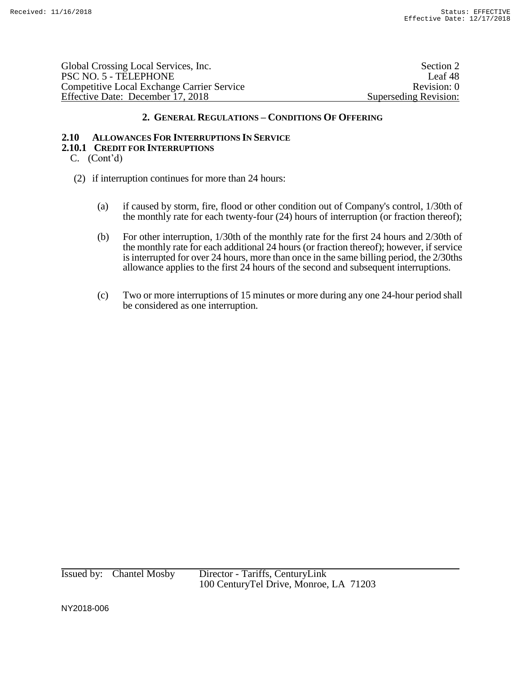Global Crossing Local Services, Inc. Section 2 and Section 2 and Section 2 and Section 2 and Section 2 and Section 2 and Section 2 and Section 2 and Section 2 and Section 2 and Section 2 and Section 2 and Section 2 and Sec PSC NO. 5 - TELEPHONE Leaf 48 Competitive Local Exchange Carrier Service Revision: 0 Effective Date: December 17, 2018 Superseding Revision:

# **2. GENERAL REGULATIONS – CONDITIONS OF OFFERING**

# **2.10 ALLOWANCES FOR INTERRUPTIONS IN SERVICE**

#### **2.10.1 CREDIT FOR INTERRUPTIONS**

- C. (Cont'd)
- (2) if interruption continues for more than 24 hours:
	- (a) if caused by storm, fire, flood or other condition out of Company's control, 1/30th of the monthly rate for each twenty-four (24) hours of interruption (or fraction thereof);
	- (b) For other interruption, 1/30th of the monthly rate for the first 24 hours and 2/30th of the monthly rate for each additional 24 hours (or fraction thereof); however, if service is interrupted for over 24 hours, more than once in the same billing period, the 2/30ths allowance applies to the first 24 hours of the second and subsequent interruptions.
	- (c) Two or more interruptions of 15 minutes or more during any one 24-hour period shall be considered as one interruption.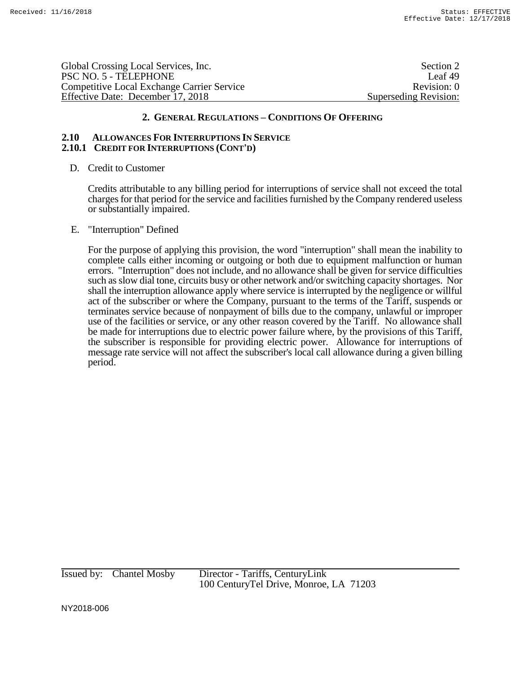Global Crossing Local Services, Inc. Section 2 and Section 2 and Section 2 and Section 2 and Section 2 and Section 2 and Section 2 and Section 2 and Section 2 and Section 2 and Section 2 and Section 2 and Section 2 and Sec PSC NO. 5 - TELEPHONE Leaf 49 Competitive Local Exchange Carrier Service **Revision: 0** Revision: 0 Effective Date: December 17, 2018 Superseding Revision:

# **2. GENERAL REGULATIONS – CONDITIONS OF OFFERING**

#### **2.10 ALLOWANCES FOR INTERRUPTIONS IN SERVICE 2.10.1 CREDIT FOR INTERRUPTIONS (CONT'D)**

D. Credit to Customer

Credits attributable to any billing period for interruptions of service shall not exceed the total charges for that period for the service and facilities furnished by the Company rendered useless or substantially impaired.

E. "Interruption" Defined

For the purpose of applying this provision, the word "interruption" shall mean the inability to complete calls either incoming or outgoing or both due to equipment malfunction or human errors. "Interruption" does not include, and no allowance shall be given for service difficulties such as slow dial tone, circuits busy or other network and/or switching capacity shortages. Nor shall the interruption allowance apply where service is interrupted by the negligence or willful act of the subscriber or where the Company, pursuant to the terms of the Tariff, suspends or terminates service because of nonpayment of bills due to the company, unlawful or improper use of the facilities or service, or any other reason covered by the Tariff. No allowance shall be made for interruptions due to electric power failure where, by the provisions of this Tariff, the subscriber is responsible for providing electric power. Allowance for interruptions of message rate service will not affect the subscriber's local call allowance during a given billing period.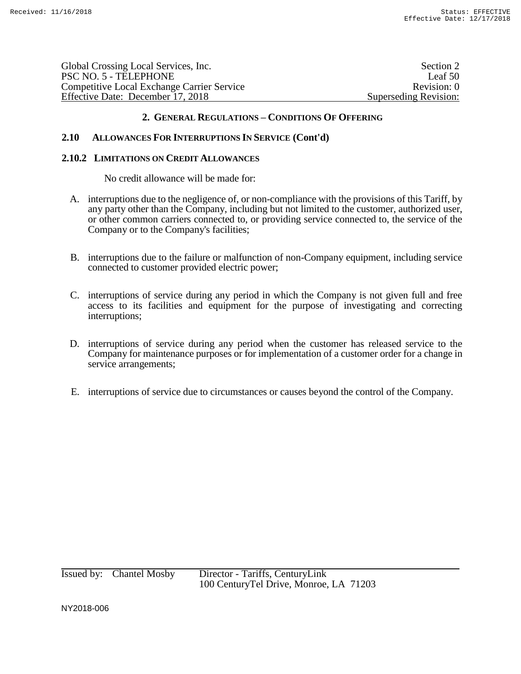| Global Crossing Local Services, Inc.              | Section 2             |
|---------------------------------------------------|-----------------------|
| PSC NO. 5 - TELEPHONE                             | Leaf 50               |
| <b>Competitive Local Exchange Carrier Service</b> | Revision: 0           |
| Effective Date: December 17, 2018                 | Superseding Revision: |
|                                                   |                       |

# **2.10 ALLOWANCES FOR INTERRUPTIONS IN SERVICE (Cont'd)**

#### **2.10.2 LIMITATIONS ON CREDIT ALLOWANCES**

No credit allowance will be made for:

- A. interruptions due to the negligence of, or non-compliance with the provisions of this Tariff, by any party other than the Company, including but not limited to the customer, authorized user, or other common carriers connected to, or providing service connected to, the service of the Company or to the Company's facilities;
- B. interruptions due to the failure or malfunction of non-Company equipment, including service connected to customer provided electric power;
- C. interruptions of service during any period in which the Company is not given full and free access to its facilities and equipment for the purpose of investigating and correcting interruptions;
- D. interruptions of service during any period when the customer has released service to the Company for maintenance purposes or for implementation of a customer order for a change in service arrangements;
- E. interruptions of service due to circumstances or causes beyond the control of the Company.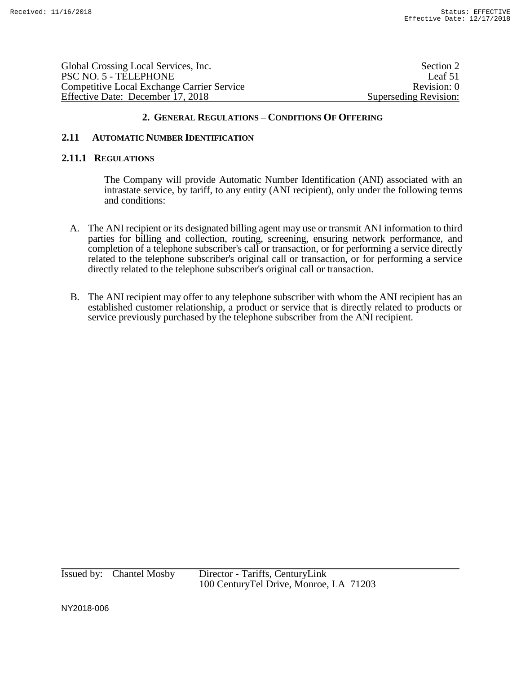| Global Crossing Local Services, Inc.              | Section 2             |
|---------------------------------------------------|-----------------------|
| PSC NO. 5 - TELEPHONE                             | Leaf 51               |
| <b>Competitive Local Exchange Carrier Service</b> | Revision: 0           |
| Effective Date: December 17, 2018                 | Superseding Revision: |
|                                                   |                       |

# **2.11 AUTOMATIC NUMBER IDENTIFICATION**

#### **2.11.1 REGULATIONS**

The Company will provide Automatic Number Identification (ANI) associated with an intrastate service, by tariff, to any entity (ANI recipient), only under the following terms and conditions:

- A. The ANI recipient or its designated billing agent may use or transmit ANI information to third parties for billing and collection, routing, screening, ensuring network performance, and completion of a telephone subscriber's call or transaction, or for performing a service directly related to the telephone subscriber's original call or transaction, or for performing a service directly related to the telephone subscriber's original call or transaction.
- B. The ANI recipient may offer to any telephone subscriber with whom the ANI recipient has an established customer relationship, a product or service that is directly related to products or service previously purchased by the telephone subscriber from the ANI recipient.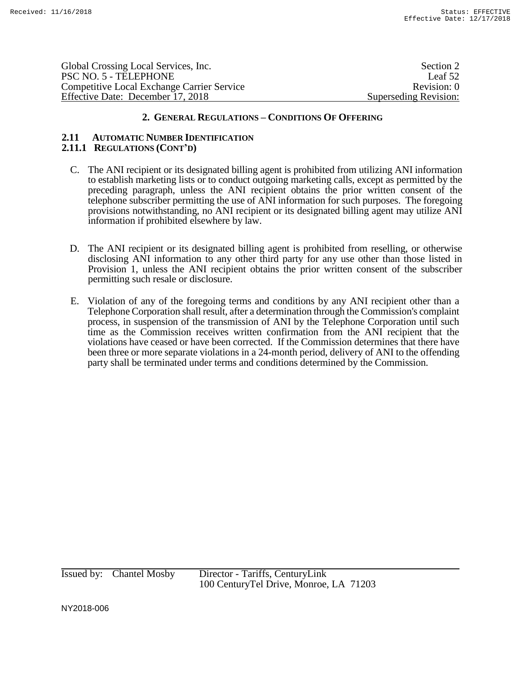| Global Crossing Local Services, Inc.              | Section 2             |
|---------------------------------------------------|-----------------------|
| PSC NO. 5 - TELEPHONE                             | Leaf 52               |
| <b>Competitive Local Exchange Carrier Service</b> | Revision: 0           |
| Effective Date: December 17, 2018                 | Superseding Revision: |
|                                                   |                       |

#### **2.11 AUTOMATIC NUMBER IDENTIFICATION 2.11.1 REGULATIONS (CONT'D)**

- C. The ANI recipient or its designated billing agent is prohibited from utilizing ANI information to establish marketing lists or to conduct outgoing marketing calls, except as permitted by the preceding paragraph, unless the ANI recipient obtains the prior written consent of the telephone subscriber permitting the use of ANI information for such purposes. The foregoing provisions notwithstanding, no ANI recipient or its designated billing agent may utilize ANI information if prohibited elsewhere by law.
- D. The ANI recipient or its designated billing agent is prohibited from reselling, or otherwise disclosing ANI information to any other third party for any use other than those listed in Provision 1, unless the ANI recipient obtains the prior written consent of the subscriber permitting such resale or disclosure.
- E. Violation of any of the foregoing terms and conditions by any ANI recipient other than a Telephone Corporation shall result, after a determination through the Commission's complaint process, in suspension of the transmission of ANI by the Telephone Corporation until such time as the Commission receives written confirmation from the ANI recipient that the violations have ceased or have been corrected. If the Commission determines that there have been three or more separate violations in a 24-month period, delivery of ANI to the offending party shall be terminated under terms and conditions determined by the Commission.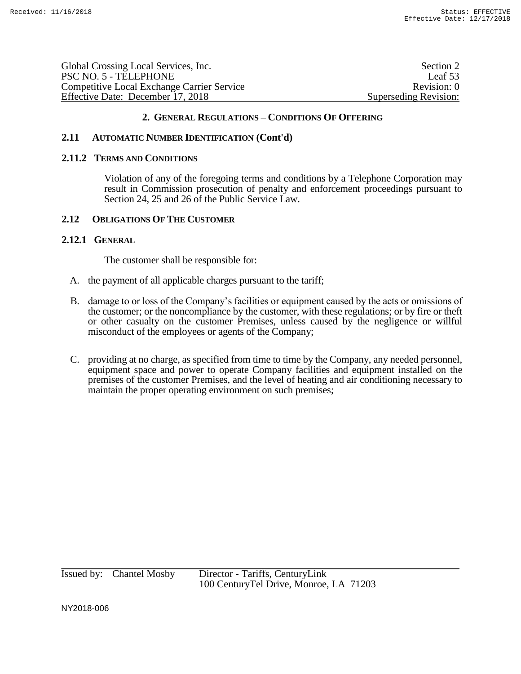| Section 2             |
|-----------------------|
| Leaf 53               |
| Revision: 0           |
| Superseding Revision: |
|                       |

# **2.11 AUTOMATIC NUMBER IDENTIFICATION (Cont'd)**

#### **2.11.2 TERMS AND CONDITIONS**

Violation of any of the foregoing terms and conditions by a Telephone Corporation may result in Commission prosecution of penalty and enforcement proceedings pursuant to Section 24, 25 and 26 of the Public Service Law.

#### **2.12 OBLIGATIONS OF THE CUSTOMER**

# **2.12.1 GENERAL**

The customer shall be responsible for:

- A. the payment of all applicable charges pursuant to the tariff;
- B. damage to or loss of the Company's facilities or equipment caused by the acts or omissions of the customer; or the noncompliance by the customer, with these regulations; or by fire or theft or other casualty on the customer Premises, unless caused by the negligence or willful misconduct of the employees or agents of the Company;
- C. providing at no charge, as specified from time to time by the Company, any needed personnel, equipment space and power to operate Company facilities and equipment installed on the premises of the customer Premises, and the level of heating and air conditioning necessary to maintain the proper operating environment on such premises;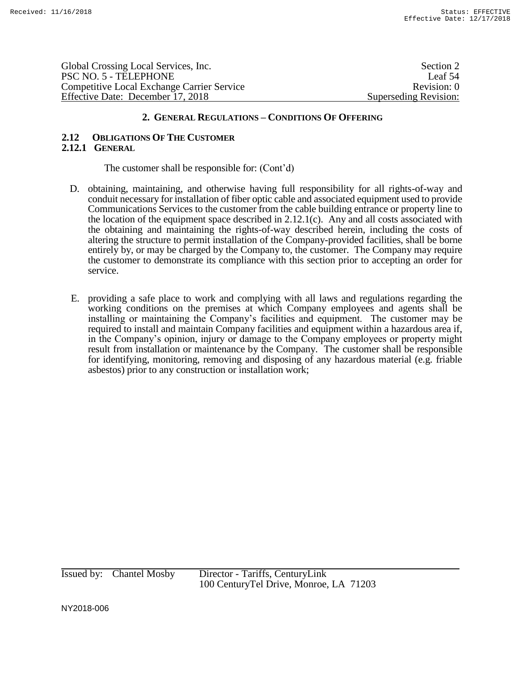Global Crossing Local Services, Inc. Section 2 PSC NO. 5 - TELEPHONE Leaf 54 Competitive Local Exchange Carrier Service Revision: 0 Effective Date: December 17, 2018 Superseding Revision:

# **2. GENERAL REGULATIONS – CONDITIONS OF OFFERING**

# **2.12 OBLIGATIONS OF THE CUSTOMER 2.12.1 GENERAL**

# The customer shall be responsible for: (Cont'd)

- D. obtaining, maintaining, and otherwise having full responsibility for all rights-of-way and conduit necessary for installation of fiber optic cable and associated equipment used to provide Communications Services to the customer from the cable building entrance or property line to the location of the equipment space described in 2.12.1(c). Any and all costs associated with the obtaining and maintaining the rights-of-way described herein, including the costs of altering the structure to permit installation of the Company-provided facilities, shall be borne entirely by, or may be charged by the Company to, the customer. The Company may require the customer to demonstrate its compliance with this section prior to accepting an order for service.
- E. providing a safe place to work and complying with all laws and regulations regarding the working conditions on the premises at which Company employees and agents shall be installing or maintaining the Company's facilities and equipment. The customer may be required to install and maintain Company facilities and equipment within a hazardous area if, in the Company's opinion, injury or damage to the Company employees or property might result from installation or maintenance by the Company. The customer shall be responsible for identifying, monitoring, removing and disposing of any hazardous material (e.g. friable asbestos) prior to any construction or installation work;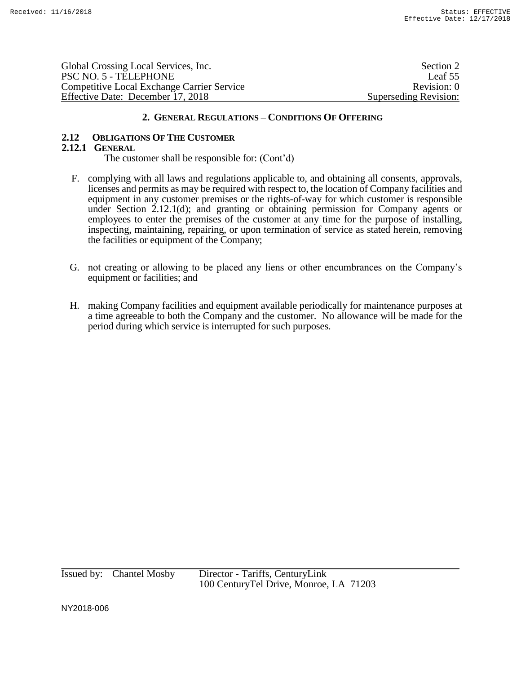| Global Crossing Local Services, Inc.              | Section 2             |
|---------------------------------------------------|-----------------------|
| PSC NO. 5 - TELEPHONE                             | Leaf 55               |
| <b>Competitive Local Exchange Carrier Service</b> | Revision: 0           |
| Effective Date: December 17, 2018                 | Superseding Revision: |

# **2.12 OBLIGATIONS OF THE CUSTOMER**

# **2.12.1 GENERAL**

The customer shall be responsible for: (Cont'd)

- F. complying with all laws and regulations applicable to, and obtaining all consents, approvals, licenses and permits as may be required with respect to, the location of Company facilities and equipment in any customer premises or the rights-of-way for which customer is responsible under Section 2.12.1(d); and granting or obtaining permission for Company agents or employees to enter the premises of the customer at any time for the purpose of installing, inspecting, maintaining, repairing, or upon termination of service as stated herein, removing the facilities or equipment of the Company;
- G. not creating or allowing to be placed any liens or other encumbrances on the Company's equipment or facilities; and
- H. making Company facilities and equipment available periodically for maintenance purposes at a time agreeable to both the Company and the customer. No allowance will be made for the period during which service is interrupted for such purposes.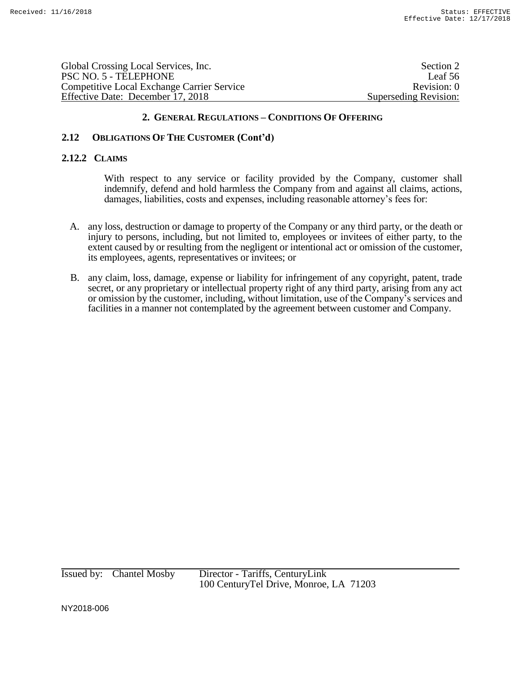| Global Crossing Local Services, Inc.              | Section 2             |
|---------------------------------------------------|-----------------------|
| PSC NO. 5 - TELEPHONE                             | Leaf 56               |
| <b>Competitive Local Exchange Carrier Service</b> | Revision: 0           |
| Effective Date: December 17, 2018                 | Superseding Revision: |
|                                                   |                       |

# **2.12 OBLIGATIONS OF THE CUSTOMER (Cont'd)**

## **2.12.2 CLAIMS**

With respect to any service or facility provided by the Company, customer shall indemnify, defend and hold harmless the Company from and against all claims, actions, damages, liabilities, costs and expenses, including reasonable attorney's fees for:

- A. any loss, destruction or damage to property of the Company or any third party, or the death or injury to persons, including, but not limited to, employees or invitees of either party, to the extent caused by or resulting from the negligent or intentional act or omission of the customer, its employees, agents, representatives or invitees; or
- B. any claim, loss, damage, expense or liability for infringement of any copyright, patent, trade secret, or any proprietary or intellectual property right of any third party, arising from any act or omission by the customer, including, without limitation, use of the Company's services and facilities in a manner not contemplated by the agreement between customer and Company.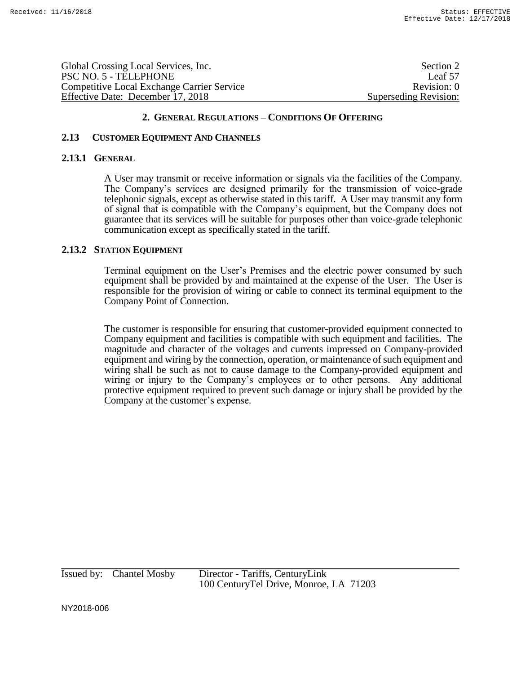| Global Crossing Local Services, Inc.              | Section 2             |
|---------------------------------------------------|-----------------------|
| PSC NO. 5 - TELEPHONE                             | Leaf 57               |
| <b>Competitive Local Exchange Carrier Service</b> | Revision: 0           |
| Effective Date: December 17, 2018                 | Superseding Revision: |
|                                                   |                       |

## **2.13 CUSTOMER EQUIPMENT AND CHANNELS**

#### **2.13.1 GENERAL**

A User may transmit or receive information or signals via the facilities of the Company. The Company's services are designed primarily for the transmission of voice-grade telephonic signals, except as otherwise stated in this tariff. A User may transmit any form of signal that is compatible with the Company's equipment, but the Company does not guarantee that its services will be suitable for purposes other than voice-grade telephonic communication except as specifically stated in the tariff.

#### **2.13.2 STATION EQUIPMENT**

Terminal equipment on the User's Premises and the electric power consumed by such equipment shall be provided by and maintained at the expense of the User. The User is responsible for the provision of wiring or cable to connect its terminal equipment to the Company Point of Connection.

The customer is responsible for ensuring that customer-provided equipment connected to Company equipment and facilities is compatible with such equipment and facilities. The magnitude and character of the voltages and currents impressed on Company-provided equipment and wiring by the connection, operation, or maintenance of such equipment and wiring shall be such as not to cause damage to the Company-provided equipment and wiring or injury to the Company's employees or to other persons. Any additional protective equipment required to prevent such damage or injury shall be provided by the Company at the customer's expense.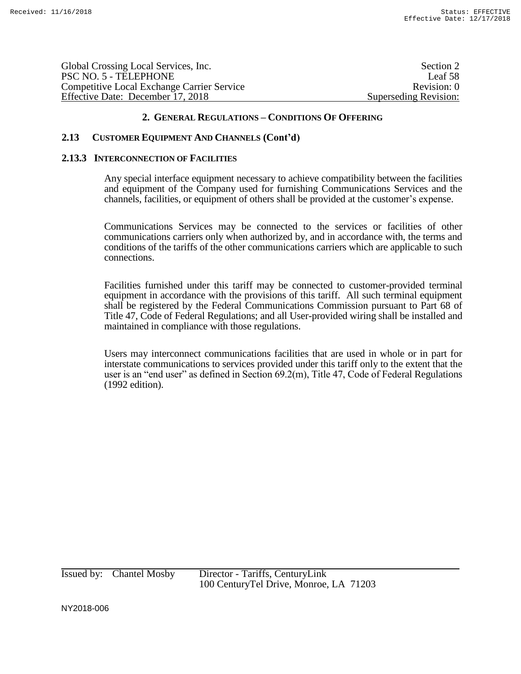| Global Crossing Local Services, Inc.              | Section 2             |
|---------------------------------------------------|-----------------------|
| PSC NO. 5 - TELEPHONE                             | Leaf 58               |
| <b>Competitive Local Exchange Carrier Service</b> | Revision: 0           |
| Effective Date: December 17, 2018                 | Superseding Revision: |

# **2.13 CUSTOMER EQUIPMENT AND CHANNELS (Cont'd)**

#### **2.13.3 INTERCONNECTION OF FACILITIES**

Any special interface equipment necessary to achieve compatibility between the facilities and equipment of the Company used for furnishing Communications Services and the channels, facilities, or equipment of others shall be provided at the customer's expense.

Communications Services may be connected to the services or facilities of other communications carriers only when authorized by, and in accordance with, the terms and conditions of the tariffs of the other communications carriers which are applicable to such connections.

Facilities furnished under this tariff may be connected to customer-provided terminal equipment in accordance with the provisions of this tariff. All such terminal equipment shall be registered by the Federal Communications Commission pursuant to Part 68 of Title 47, Code of Federal Regulations; and all User-provided wiring shall be installed and maintained in compliance with those regulations.

Users may interconnect communications facilities that are used in whole or in part for interstate communications to services provided under this tariff only to the extent that the user is an "end user" as defined in Section 69.2(m), Title 47, Code of Federal Regulations (1992 edition).

Issued by: Chantel Mosby Director - Tariffs, CenturyLink 100 CenturyTel Drive, Monroe, LA 71203

NY2018-006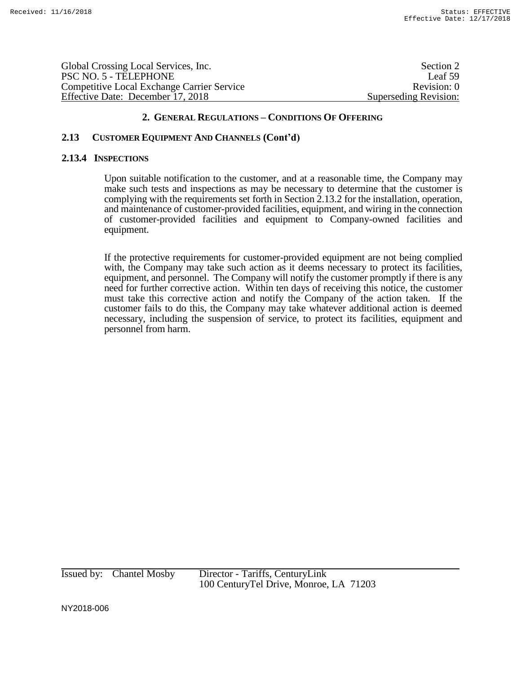Global Crossing Local Services, Inc. Section 2 and Section 2 and Section 2 and Section 2 and Section 2 and Section 2 and Section 2 and Section 2 and Section 2 and Section 2 and Section 2 and Section 2 and Section 2 and Sec PSC NO. 5 - TELEPHONE Leaf 59 Competitive Local Exchange Carrier Service Revision: 0 Effective Date: December 17, 2018 Superseding Revision:

## **2. GENERAL REGULATIONS – CONDITIONS OF OFFERING**

# **2.13 CUSTOMER EQUIPMENT AND CHANNELS (Cont'd)**

#### **2.13.4 INSPECTIONS**

Upon suitable notification to the customer, and at a reasonable time, the Company may make such tests and inspections as may be necessary to determine that the customer is complying with the requirements set forth in Section 2.13.2 for the installation, operation, and maintenance of customer-provided facilities, equipment, and wiring in the connection of customer-provided facilities and equipment to Company-owned facilities and equipment.

If the protective requirements for customer-provided equipment are not being complied with, the Company may take such action as it deems necessary to protect its facilities, equipment, and personnel. The Company will notify the customer promptly if there is any need for further corrective action. Within ten days of receiving this notice, the customer must take this corrective action and notify the Company of the action taken. If the customer fails to do this, the Company may take whatever additional action is deemed necessary, including the suspension of service, to protect its facilities, equipment and personnel from harm.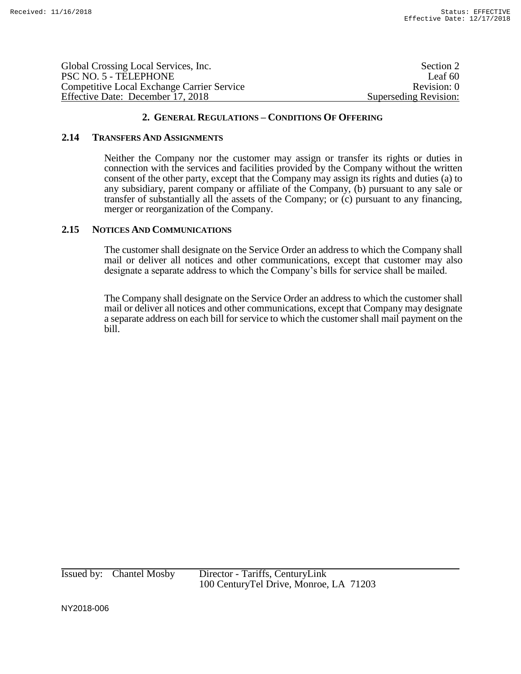| Global Crossing Local Services, Inc.       | Section 2             |
|--------------------------------------------|-----------------------|
| PSC NO. 5 - TELEPHONE                      | Leaf 60               |
| Competitive Local Exchange Carrier Service | Revision: 0           |
| Effective Date: December 17, 2018          | Superseding Revision: |

## **2.14 TRANSFERS AND ASSIGNMENTS**

Neither the Company nor the customer may assign or transfer its rights or duties in connection with the services and facilities provided by the Company without the written consent of the other party, except that the Company may assign its rights and duties (a) to any subsidiary, parent company or affiliate of the Company, (b) pursuant to any sale or transfer of substantially all the assets of the Company; or (c) pursuant to any financing, merger or reorganization of the Company.

## **2.15 NOTICES AND COMMUNICATIONS**

The customer shall designate on the Service Order an address to which the Company shall mail or deliver all notices and other communications, except that customer may also designate a separate address to which the Company's bills for service shall be mailed.

The Company shall designate on the Service Order an address to which the customer shall mail or deliver all notices and other communications, except that Company may designate a separate address on each bill for service to which the customer shall mail payment on the bill.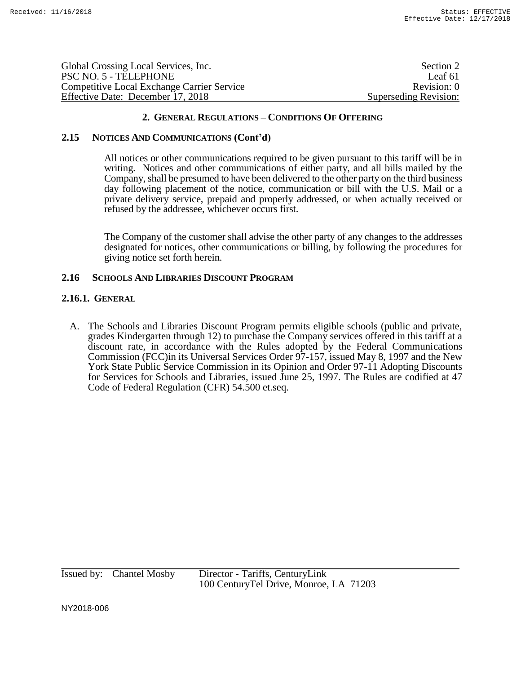| Global Crossing Local Services, Inc.              | Section 2             |
|---------------------------------------------------|-----------------------|
| PSC NO. 5 - TELEPHONE                             | Leaf 61               |
| <b>Competitive Local Exchange Carrier Service</b> | Revision: 0           |
| Effective Date: December 17, 2018                 | Superseding Revision: |

#### **2.15 NOTICES AND COMMUNICATIONS (Cont'd)**

All notices or other communications required to be given pursuant to this tariff will be in writing. Notices and other communications of either party, and all bills mailed by the Company, shall be presumed to have been delivered to the other party on the third business day following placement of the notice, communication or bill with the U.S. Mail or a private delivery service, prepaid and properly addressed, or when actually received or refused by the addressee, whichever occurs first.

The Company of the customer shall advise the other party of any changes to the addresses designated for notices, other communications or billing, by following the procedures for giving notice set forth herein.

## **2.16 SCHOOLS AND LIBRARIES DISCOUNT PROGRAM**

#### **2.16.1. GENERAL**

A. The Schools and Libraries Discount Program permits eligible schools (public and private, grades Kindergarten through 12) to purchase the Company services offered in this tariff at a discount rate, in accordance with the Rules adopted by the Federal Communications Commission (FCC)in its Universal Services Order 97-157, issued May 8, 1997 and the New York State Public Service Commission in its Opinion and Order 97-11 Adopting Discounts for Services for Schools and Libraries, issued June 25, 1997. The Rules are codified at 47 Code of Federal Regulation (CFR) 54.500 et.seq.

Issued by: Chantel Mosby Director - Tariffs, CenturyLink 100 CenturyTel Drive, Monroe, LA 71203

NY2018-006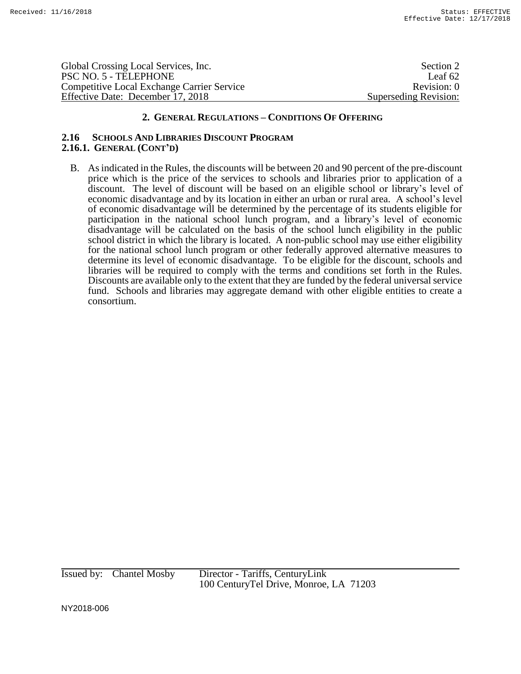Global Crossing Local Services, Inc. Section 2 PSC NO. 5 - TELEPHONE Leaf 62 Competitive Local Exchange Carrier Service Revision: 0 Effective Date: December 17, 2018 Superseding Revision:

# **2. GENERAL REGULATIONS – CONDITIONS OF OFFERING**

#### **2.16 SCHOOLS AND LIBRARIES DISCOUNT PROGRAM 2.16.1. GENERAL (CONT'D)**

B. As indicated in the Rules, the discounts will be between 20 and 90 percent of the pre-discount price which is the price of the services to schools and libraries prior to application of a discount. The level of discount will be based on an eligible school or library's level of economic disadvantage and by its location in either an urban or rural area. A school's level of economic disadvantage will be determined by the percentage of its students eligible for participation in the national school lunch program, and a library's level of economic disadvantage will be calculated on the basis of the school lunch eligibility in the public school district in which the library is located. A non-public school may use either eligibility for the national school lunch program or other federally approved alternative measures to determine its level of economic disadvantage. To be eligible for the discount, schools and libraries will be required to comply with the terms and conditions set forth in the Rules. Discounts are available only to the extent that they are funded by the federal universal service fund. Schools and libraries may aggregate demand with other eligible entities to create a consortium.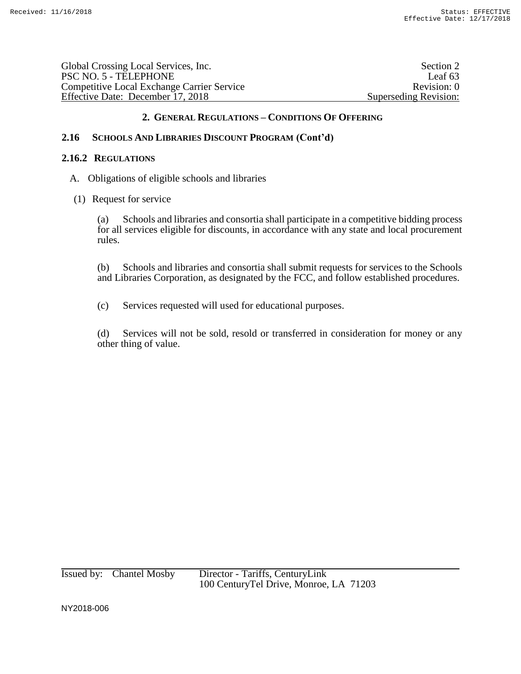Global Crossing Local Services, Inc. Section 2 PSC NO. 5 - TELEPHONE Leaf 63 Competitive Local Exchange Carrier Service Revision: 0 Effective Date: December 17, 2018 Superseding Revision:

# **2. GENERAL REGULATIONS – CONDITIONS OF OFFERING**

# **2.16 SCHOOLS AND LIBRARIES DISCOUNT PROGRAM (Cont'd)**

#### **2.16.2 REGULATIONS**

- A. Obligations of eligible schools and libraries
- (1) Request for service

(a) Schools and libraries and consortia shall participate in a competitive bidding process for all services eligible for discounts, in accordance with any state and local procurement rules.

(b) Schools and libraries and consortia shall submit requests for services to the Schools and Libraries Corporation, as designated by the FCC, and follow established procedures.

(c) Services requested will used for educational purposes.

(d) Services will not be sold, resold or transferred in consideration for money or any other thing of value.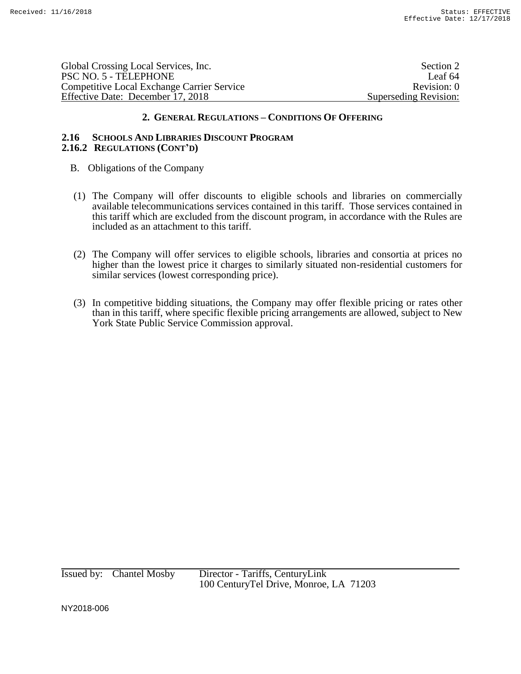Global Crossing Local Services, Inc. Section 2 and Section 2 and Section 2 and Section 2 and Section 2 and Section 2 and Section 2 and Section 2 and Section 2 and Section 2 and Section 2 and Section 2 and Section 2 and Sec PSC NO. 5 - TELEPHONE Leaf 64 Competitive Local Exchange Carrier Service Revision: 0 Effective Date: December 17, 2018 Superseding Revision:

# **2. GENERAL REGULATIONS – CONDITIONS OF OFFERING**

#### **2.16 SCHOOLS AND LIBRARIES DISCOUNT PROGRAM 2.16.2 REGULATIONS (CONT'D)**

- B. Obligations of the Company
- (1) The Company will offer discounts to eligible schools and libraries on commercially available telecommunications services contained in this tariff. Those services contained in this tariff which are excluded from the discount program, in accordance with the Rules are included as an attachment to this tariff.
- (2) The Company will offer services to eligible schools, libraries and consortia at prices no higher than the lowest price it charges to similarly situated non-residential customers for similar services (lowest corresponding price).
- (3) In competitive bidding situations, the Company may offer flexible pricing or rates other than in this tariff, where specific flexible pricing arrangements are allowed, subject to New York State Public Service Commission approval.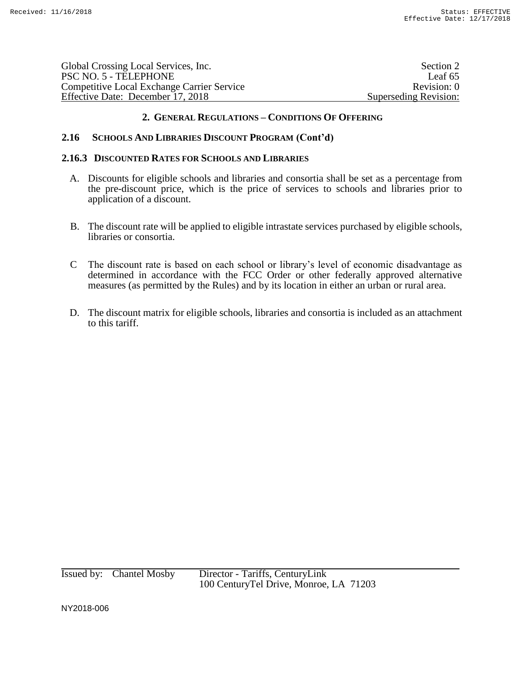| Global Crossing Local Services, Inc.       | Section 2             |
|--------------------------------------------|-----------------------|
| PSC NO. 5 - TELEPHONE                      | Leaf 65               |
| Competitive Local Exchange Carrier Service | Revision: 0           |
| Effective Date: December 17, 2018          | Superseding Revision: |

# **2.16 SCHOOLS AND LIBRARIES DISCOUNT PROGRAM (Cont'd)**

#### **2.16.3 DISCOUNTED RATES FOR SCHOOLS AND LIBRARIES**

- A. Discounts for eligible schools and libraries and consortia shall be set as a percentage from the pre-discount price, which is the price of services to schools and libraries prior to application of a discount.
- B. The discount rate will be applied to eligible intrastate services purchased by eligible schools, libraries or consortia.
- C The discount rate is based on each school or library's level of economic disadvantage as determined in accordance with the FCC Order or other federally approved alternative measures (as permitted by the Rules) and by its location in either an urban or rural area.
- D. The discount matrix for eligible schools, libraries and consortia is included as an attachment to this tariff.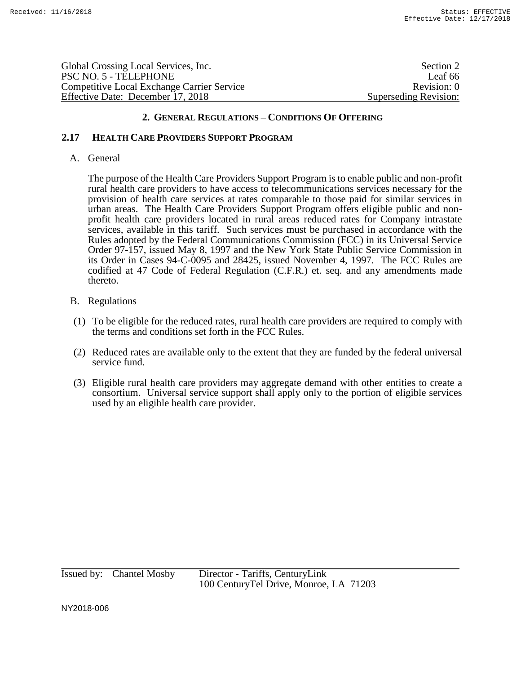Global Crossing Local Services, Inc. Section 2 and Section 2 and Section 2 and Section 2 and Section 2 and Section 2 and Section 2 and Section 2 and Section 2 and Section 2 and Section 2 and Section 2 and Section 2 and Sec PSC NO. 5 - TELEPHONE Leaf 66 Competitive Local Exchange Carrier Service Revision: 0 Effective Date: December 17, 2018 Superseding Revision:

# **2. GENERAL REGULATIONS – CONDITIONS OF OFFERING**

# **2.17 HEALTH CARE PROVIDERS SUPPORT PROGRAM**

## A. General

The purpose of the Health Care Providers Support Program is to enable public and non-profit rural health care providers to have access to telecommunications services necessary for the provision of health care services at rates comparable to those paid for similar services in urban areas. The Health Care Providers Support Program offers eligible public and nonprofit health care providers located in rural areas reduced rates for Company intrastate services, available in this tariff. Such services must be purchased in accordance with the Rules adopted by the Federal Communications Commission (FCC) in its Universal Service Order 97-157, issued May 8, 1997 and the New York State Public Service Commission in its Order in Cases 94-C-0095 and 28425, issued November 4, 1997. The FCC Rules are codified at 47 Code of Federal Regulation (C.F.R.) et. seq. and any amendments made thereto.

# B. Regulations

- (1) To be eligible for the reduced rates, rural health care providers are required to comply with the terms and conditions set forth in the FCC Rules.
- (2) Reduced rates are available only to the extent that they are funded by the federal universal service fund.
- (3) Eligible rural health care providers may aggregate demand with other entities to create a consortium. Universal service support shall apply only to the portion of eligible services used by an eligible health care provider.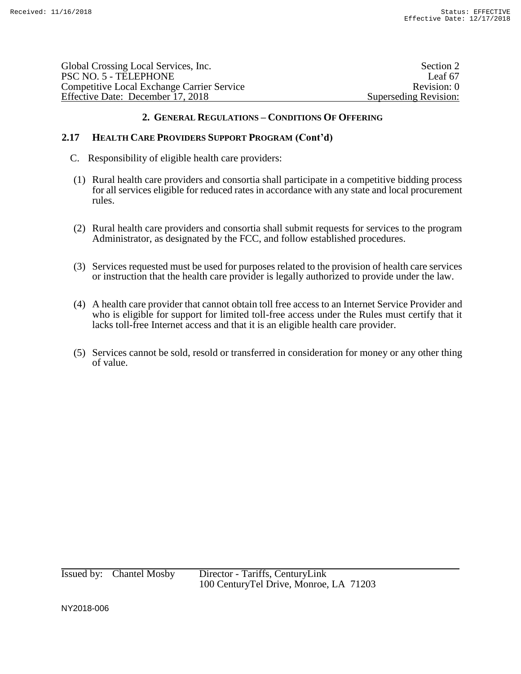| Global Crossing Local Services, Inc.              | Section 2             |
|---------------------------------------------------|-----------------------|
| PSC NO. 5 - TELEPHONE                             | Leaf 67               |
| <b>Competitive Local Exchange Carrier Service</b> | Revision: 0           |
| Effective Date: December 17, 2018                 | Superseding Revision: |
|                                                   |                       |

# **2.17 HEALTH CARE PROVIDERS SUPPORT PROGRAM (Cont'd)**

- C. Responsibility of eligible health care providers:
- (1) Rural health care providers and consortia shall participate in a competitive bidding process for all services eligible for reduced rates in accordance with any state and local procurement rules.
- (2) Rural health care providers and consortia shall submit requests for services to the program Administrator, as designated by the FCC, and follow established procedures.
- (3) Services requested must be used for purposes related to the provision of health care services or instruction that the health care provider is legally authorized to provide under the law.
- (4) A health care provider that cannot obtain toll free access to an Internet Service Provider and who is eligible for support for limited toll-free access under the Rules must certify that it lacks toll-free Internet access and that it is an eligible health care provider.
- (5) Services cannot be sold, resold or transferred in consideration for money or any other thing of value.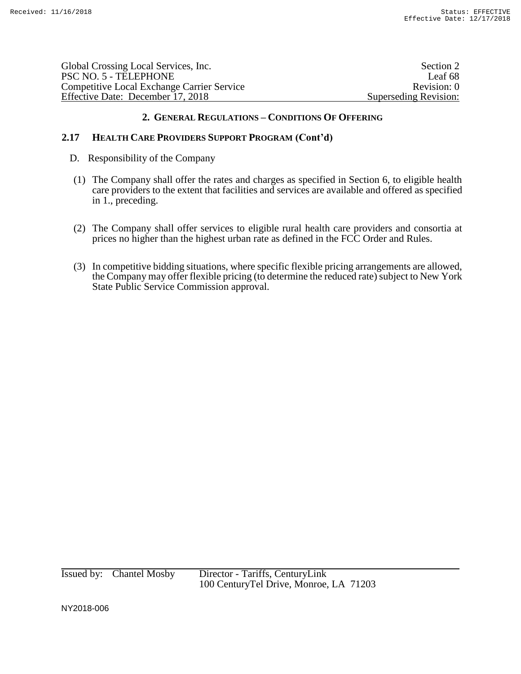| Global Crossing Local Services, Inc.              | Section 2             |
|---------------------------------------------------|-----------------------|
| PSC NO. 5 - TELEPHONE                             | Leaf 68               |
| <b>Competitive Local Exchange Carrier Service</b> | Revision: 0           |
| Effective Date: December 17, 2018                 | Superseding Revision: |
|                                                   |                       |

# **2.17 HEALTH CARE PROVIDERS SUPPORT PROGRAM (Cont'd)**

- D. Responsibility of the Company
- (1) The Company shall offer the rates and charges as specified in Section 6, to eligible health care providers to the extent that facilities and services are available and offered as specified in 1., preceding.
- (2) The Company shall offer services to eligible rural health care providers and consortia at prices no higher than the highest urban rate as defined in the FCC Order and Rules.
- (3) In competitive bidding situations, where specific flexible pricing arrangements are allowed, the Company may offer flexible pricing (to determine the reduced rate) subject to New York State Public Service Commission approval.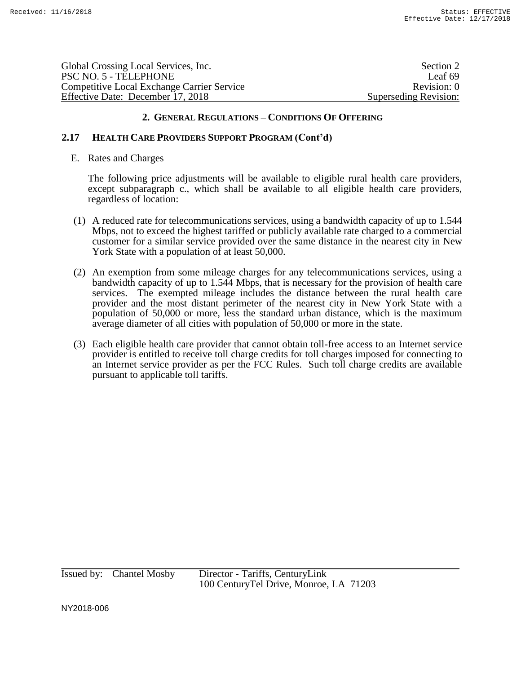Global Crossing Local Services, Inc. Section 2 PSC NO. 5 - TELEPHONE Leaf 69 Competitive Local Exchange Carrier Service Revision: 0 Effective Date: December 17, 2018 Superseding Revision:

# **2. GENERAL REGULATIONS – CONDITIONS OF OFFERING**

# **2.17 HEALTH CARE PROVIDERS SUPPORT PROGRAM (Cont'd)**

E. Rates and Charges

The following price adjustments will be available to eligible rural health care providers, except subparagraph c., which shall be available to all eligible health care providers, regardless of location:

- (1) A reduced rate for telecommunications services, using a bandwidth capacity of up to 1.544 Mbps, not to exceed the highest tariffed or publicly available rate charged to a commercial customer for a similar service provided over the same distance in the nearest city in New York State with a population of at least 50,000.
- (2) An exemption from some mileage charges for any telecommunications services, using a bandwidth capacity of up to 1.544 Mbps, that is necessary for the provision of health care services. The exempted mileage includes the distance between the rural health care provider and the most distant perimeter of the nearest city in New York State with a population of 50,000 or more, less the standard urban distance, which is the maximum average diameter of all cities with population of 50,000 or more in the state.
- (3) Each eligible health care provider that cannot obtain toll-free access to an Internet service provider is entitled to receive toll charge credits for toll charges imposed for connecting to an Internet service provider as per the FCC Rules. Such toll charge credits are available pursuant to applicable toll tariffs.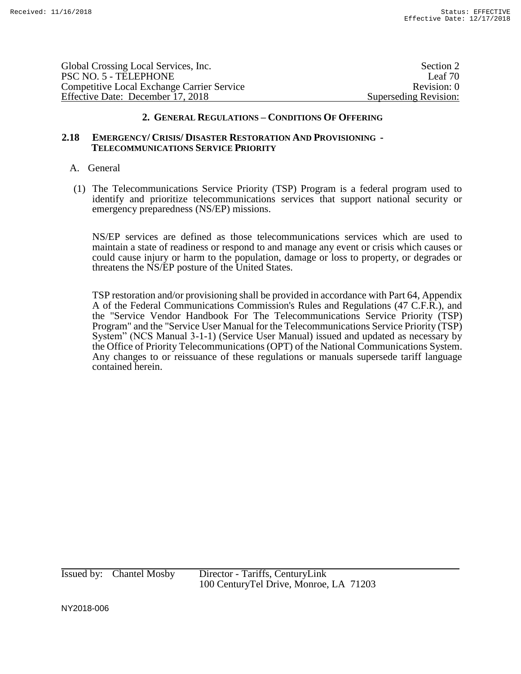| Global Crossing Local Services, Inc.              | Section 2             |
|---------------------------------------------------|-----------------------|
| PSC NO. 5 - TELEPHONE                             | Leaf 70               |
| <b>Competitive Local Exchange Carrier Service</b> | Revision: 0           |
| Effective Date: December 17, 2018                 | Superseding Revision: |
|                                                   |                       |

#### **2.18 EMERGENCY/ CRISIS/ DISASTER RESTORATION AND PROVISIONING - TELECOMMUNICATIONS SERVICE PRIORITY**

#### A. General

(1) The Telecommunications Service Priority (TSP) Program is a federal program used to identify and prioritize telecommunications services that support national security or emergency preparedness (NS/EP) missions.

NS/EP services are defined as those telecommunications services which are used to maintain a state of readiness or respond to and manage any event or crisis which causes or could cause injury or harm to the population, damage or loss to property, or degrades or threatens the NS/EP posture of the United States.

TSP restoration and/or provisioning shall be provided in accordance with Part 64, Appendix A of the Federal Communications Commission's Rules and Regulations (47 C.F.R.), and the "Service Vendor Handbook For The Telecommunications Service Priority (TSP) Program" and the "Service User Manual for the Telecommunications Service Priority (TSP) System" (NCS Manual 3-1-1) (Service User Manual) issued and updated as necessary by the Office of Priority Telecommunications (OPT) of the National Communications System. Any changes to or reissuance of these regulations or manuals supersede tariff language contained herein.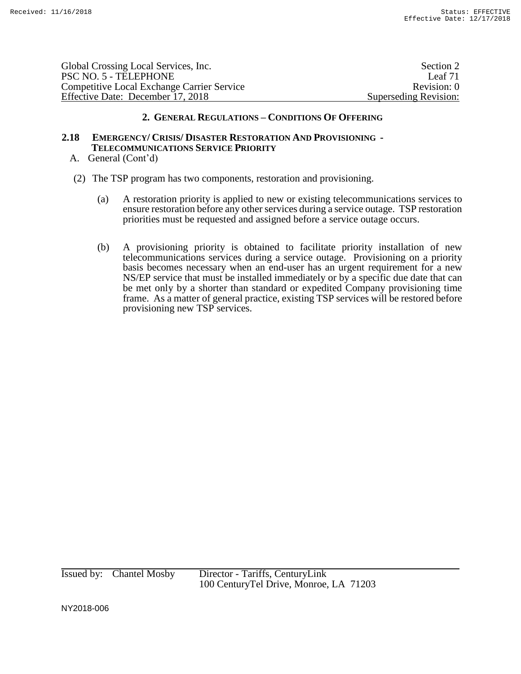Global Crossing Local Services, Inc. Section 2 PSC NO. 5 - TELEPHONE Leaf 71 Competitive Local Exchange Carrier Service Revision: 0 Effective Date: December 17, 2018 Superseding Revision:

#### **2. GENERAL REGULATIONS – CONDITIONS OF OFFERING**

# **2.18 EMERGENCY/ CRISIS/ DISASTER RESTORATION AND PROVISIONING - TELECOMMUNICATIONS SERVICE PRIORITY**

- A. General (Cont'd)
- (2) The TSP program has two components, restoration and provisioning.
	- (a) A restoration priority is applied to new or existing telecommunications services to ensure restoration before any other services during a service outage. TSP restoration priorities must be requested and assigned before a service outage occurs.
	- (b) A provisioning priority is obtained to facilitate priority installation of new telecommunications services during a service outage. Provisioning on a priority basis becomes necessary when an end-user has an urgent requirement for a new NS/EP service that must be installed immediately or by a specific due date that can be met only by a shorter than standard or expedited Company provisioning time frame. As a matter of general practice, existing TSP services will be restored before provisioning new TSP services.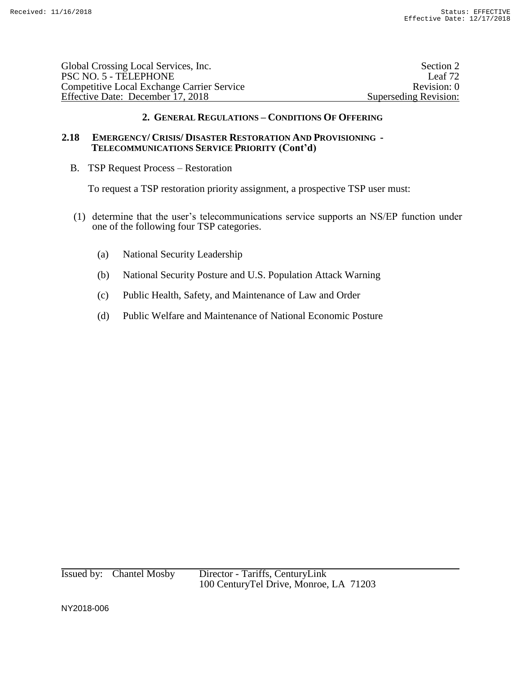| Global Crossing Local Services, Inc.              | Section 2             |
|---------------------------------------------------|-----------------------|
| PSC NO. 5 - TELEPHONE                             | Leaf 72               |
| <b>Competitive Local Exchange Carrier Service</b> | Revision: 0           |
| Effective Date: December 17, 2018                 | Superseding Revision: |
|                                                   |                       |

# **2.18 EMERGENCY/ CRISIS/ DISASTER RESTORATION AND PROVISIONING - TELECOMMUNICATIONS SERVICE PRIORITY (Cont'd)**

B. TSP Request Process – Restoration

To request a TSP restoration priority assignment, a prospective TSP user must:

- (1) determine that the user's telecommunications service supports an NS/EP function under one of the following four TSP categories.
	- (a) National Security Leadership
	- (b) National Security Posture and U.S. Population Attack Warning
	- (c) Public Health, Safety, and Maintenance of Law and Order
	- (d) Public Welfare and Maintenance of National Economic Posture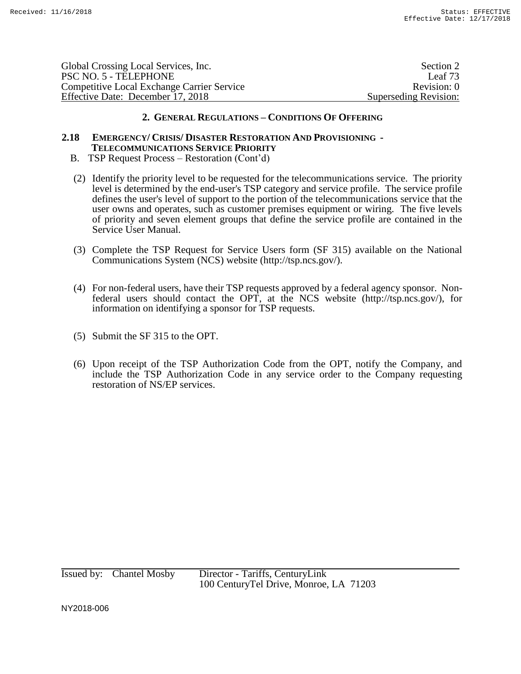| Global Crossing Local Services, Inc.              | Section 2             |
|---------------------------------------------------|-----------------------|
| PSC NO. 5 - TELEPHONE                             | Leaf 73               |
| <b>Competitive Local Exchange Carrier Service</b> | Revision: 0           |
| Effective Date: December 17, 2018                 | Superseding Revision: |
|                                                   |                       |

### **2.18 EMERGENCY/ CRISIS/ DISASTER RESTORATION AND PROVISIONING - TELECOMMUNICATIONS SERVICE PRIORITY**

- B. TSP Request Process Restoration (Cont'd)
- (2) Identify the priority level to be requested for the telecommunications service. The priority level is determined by the end-user's TSP category and service profile. The service profile defines the user's level of support to the portion of the telecommunications service that the user owns and operates, such as customer premises equipment or wiring. The five levels of priority and seven element groups that define the service profile are contained in the Service User Manual.
- (3) Complete the TSP Request for Service Users form (SF 315) available on the National Communications System (NCS) website (http://tsp.ncs.gov/).
- (4) For non-federal users, have their TSP requests approved by a federal agency sponsor. Nonfederal users should contact the OPT, at the NCS website (http://tsp.ncs.gov/), for information on identifying a sponsor for TSP requests.
- (5) Submit the SF 315 to the OPT.
- (6) Upon receipt of the TSP Authorization Code from the OPT, notify the Company, and include the TSP Authorization Code in any service order to the Company requesting restoration of NS/EP services.

Issued by: Chantel Mosby Director - Tariffs, CenturyLink 100 CenturyTel Drive, Monroe, LA 71203

NY2018-006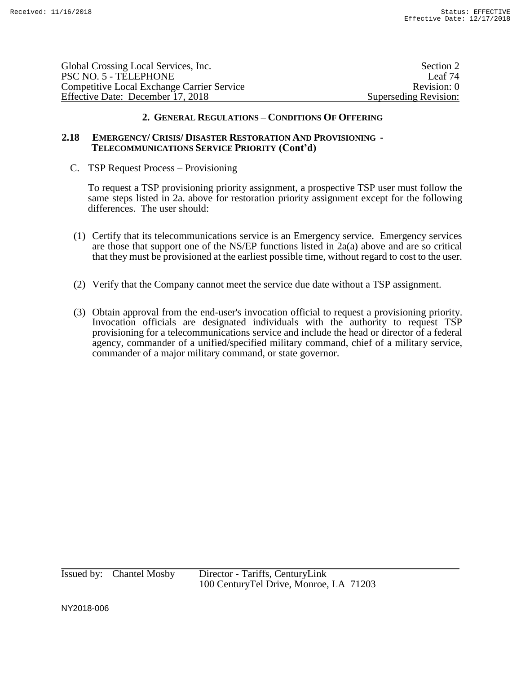| Global Crossing Local Services, Inc.              |                       |
|---------------------------------------------------|-----------------------|
| PSC NO. 5 - TELEPHONE                             | Leaf 74               |
| <b>Competitive Local Exchange Carrier Service</b> | Revision: 0           |
| Effective Date: December 17, 2018                 | Superseding Revision: |

#### **2.18 EMERGENCY/ CRISIS/ DISASTER RESTORATION AND PROVISIONING - TELECOMMUNICATIONS SERVICE PRIORITY (Cont'd)**

C. TSP Request Process – Provisioning

To request a TSP provisioning priority assignment, a prospective TSP user must follow the same steps listed in 2a. above for restoration priority assignment except for the following differences. The user should:

- (1) Certify that its telecommunications service is an Emergency service. Emergency services are those that support one of the NS/EP functions listed in 2a(a) above and are so critical that they must be provisioned at the earliest possible time, without regard to cost to the user.
- (2) Verify that the Company cannot meet the service due date without a TSP assignment.
- (3) Obtain approval from the end-user's invocation official to request a provisioning priority. Invocation officials are designated individuals with the authority to request TSP provisioning for a telecommunications service and include the head or director of a federal agency, commander of a unified/specified military command, chief of a military service, commander of a major military command, or state governor.

Issued by: Chantel Mosby Director - Tariffs, CenturyLink 100 CenturyTel Drive, Monroe, LA 71203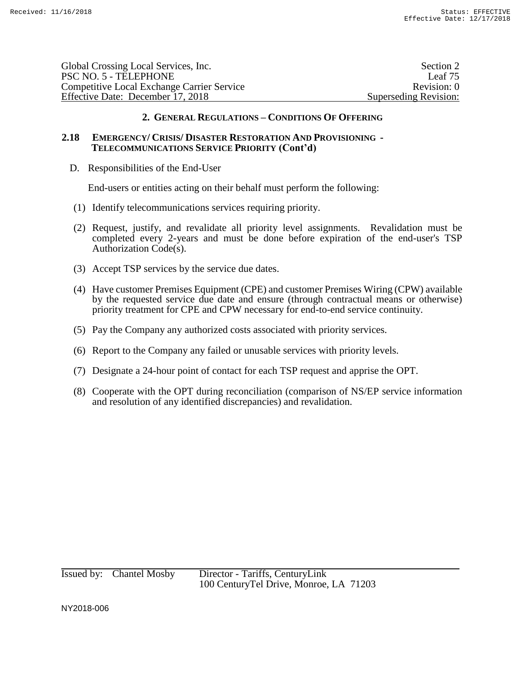| Global Crossing Local Services, Inc.              | Section 2             |
|---------------------------------------------------|-----------------------|
| PSC NO. 5 - TELEPHONE                             | Leaf 75               |
| <b>Competitive Local Exchange Carrier Service</b> | Revision: 0           |
| Effective Date: December 17, 2018                 | Superseding Revision: |
|                                                   |                       |

### **2.18 EMERGENCY/ CRISIS/ DISASTER RESTORATION AND PROVISIONING - TELECOMMUNICATIONS SERVICE PRIORITY (Cont'd)**

D. Responsibilities of the End-User

End-users or entities acting on their behalf must perform the following:

- (1) Identify telecommunications services requiring priority.
- (2) Request, justify, and revalidate all priority level assignments. Revalidation must be completed every 2-years and must be done before expiration of the end-user's TSP Authorization Code(s).
- (3) Accept TSP services by the service due dates.
- (4) Have customer Premises Equipment (CPE) and customer Premises Wiring (CPW) available by the requested service due date and ensure (through contractual means or otherwise) priority treatment for CPE and CPW necessary for end-to-end service continuity.
- (5) Pay the Company any authorized costs associated with priority services.
- (6) Report to the Company any failed or unusable services with priority levels.
- (7) Designate a 24-hour point of contact for each TSP request and apprise the OPT.
- (8) Cooperate with the OPT during reconciliation (comparison of NS/EP service information and resolution of any identified discrepancies) and revalidation.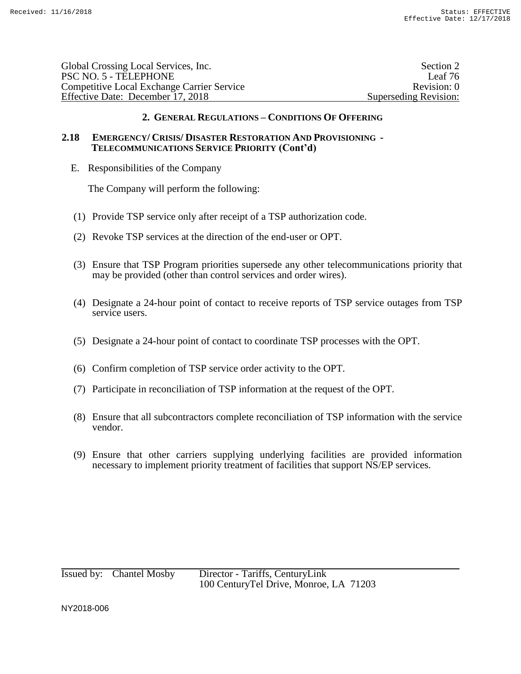| Global Crossing Local Services, Inc.              | Section 2             |
|---------------------------------------------------|-----------------------|
| PSC NO. 5 - TELEPHONE                             | Leaf 76               |
| <b>Competitive Local Exchange Carrier Service</b> | Revision: 0           |
| Effective Date: December 17, 2018                 | Superseding Revision: |
|                                                   |                       |

### **2.18 EMERGENCY/ CRISIS/ DISASTER RESTORATION AND PROVISIONING - TELECOMMUNICATIONS SERVICE PRIORITY (Cont'd)**

E. Responsibilities of the Company

The Company will perform the following:

- (1) Provide TSP service only after receipt of a TSP authorization code.
- (2) Revoke TSP services at the direction of the end-user or OPT.
- (3) Ensure that TSP Program priorities supersede any other telecommunications priority that may be provided (other than control services and order wires).
- (4) Designate a 24-hour point of contact to receive reports of TSP service outages from TSP service users.
- (5) Designate a 24-hour point of contact to coordinate TSP processes with the OPT.
- (6) Confirm completion of TSP service order activity to the OPT.
- (7) Participate in reconciliation of TSP information at the request of the OPT.
- (8) Ensure that all subcontractors complete reconciliation of TSP information with the service vendor.
- (9) Ensure that other carriers supplying underlying facilities are provided information necessary to implement priority treatment of facilities that support NS/EP services.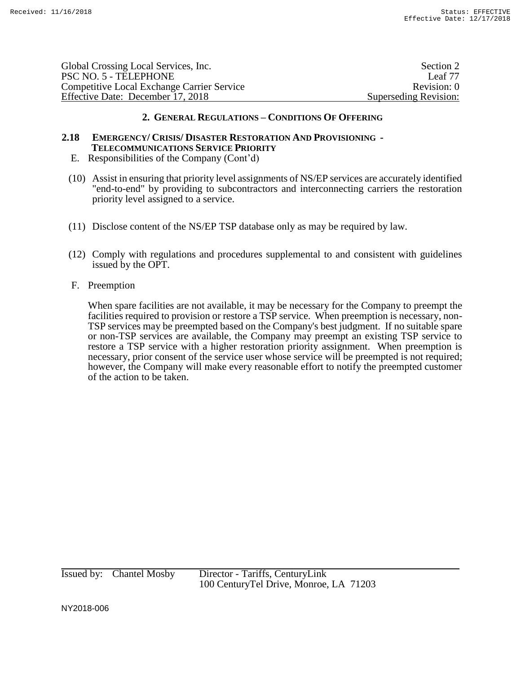| Global Crossing Local Services, Inc.              | Section 2             |
|---------------------------------------------------|-----------------------|
| PSC NO. 5 - TELEPHONE                             | Leaf 77               |
| <b>Competitive Local Exchange Carrier Service</b> | Revision: 0           |
| Effective Date: December 17, 2018                 | Superseding Revision: |
|                                                   |                       |

### **2.18 EMERGENCY/ CRISIS/ DISASTER RESTORATION AND PROVISIONING - TELECOMMUNICATIONS SERVICE PRIORITY**

- E. Responsibilities of the Company (Cont'd)
- (10) Assist in ensuring that priority level assignments of NS/EP services are accurately identified "end-to-end" by providing to subcontractors and interconnecting carriers the restoration priority level assigned to a service.
- (11) Disclose content of the NS/EP TSP database only as may be required by law.
- (12) Comply with regulations and procedures supplemental to and consistent with guidelines issued by the OPT.

#### F. Preemption

When spare facilities are not available, it may be necessary for the Company to preempt the facilities required to provision or restore a TSP service. When preemption is necessary, non-TSP services may be preempted based on the Company's best judgment. If no suitable spare or non-TSP services are available, the Company may preempt an existing TSP service to restore a TSP service with a higher restoration priority assignment. When preemption is necessary, prior consent of the service user whose service will be preempted is not required; however, the Company will make every reasonable effort to notify the preempted customer of the action to be taken.

Issued by: Chantel Mosby Director - Tariffs, CenturyLink 100 CenturyTel Drive, Monroe, LA 71203

NY2018-006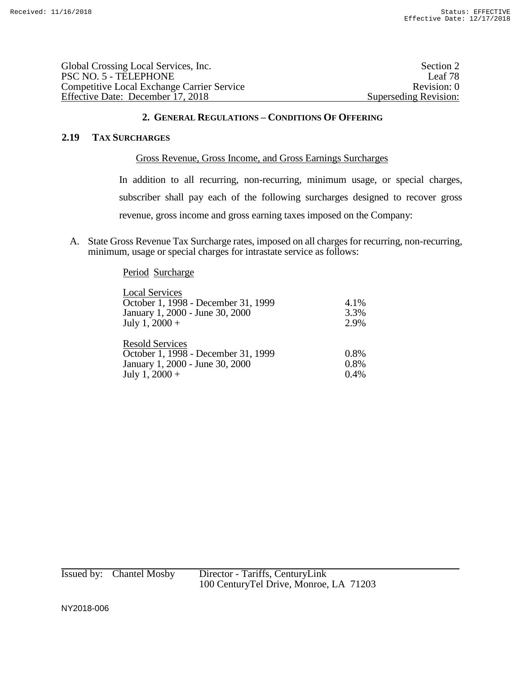| Global Crossing Local Services, Inc.              | Section 2             |
|---------------------------------------------------|-----------------------|
| PSC NO. 5 - TELEPHONE                             | Leaf 78               |
| <b>Competitive Local Exchange Carrier Service</b> | Revision: 0           |
| Effective Date: December 17, 2018                 | Superseding Revision: |

#### **2.19 TAX SURCHARGES**

### Gross Revenue, Gross Income, and Gross Earnings Surcharges

In addition to all recurring, non-recurring, minimum usage, or special charges, subscriber shall pay each of the following surcharges designed to recover gross revenue, gross income and gross earning taxes imposed on the Company:

A. State Gross Revenue Tax Surcharge rates, imposed on all charges for recurring, non-recurring, minimum, usage or special charges for intrastate service as follows:

#### Period Surcharge

| <b>Local Services</b>               |      |
|-------------------------------------|------|
| October 1, 1998 - December 31, 1999 | 4.1% |
| January 1, 2000 - June 30, 2000     | 3.3% |
| July 1, $2000 +$                    | 2.9% |
| <b>Resold Services</b>              | 0.8% |
| October 1, 1998 - December 31, 1999 |      |
| January 1, 2000 - June 30, 2000     | 0.8% |
| July 1, $2000 +$                    | 0.4% |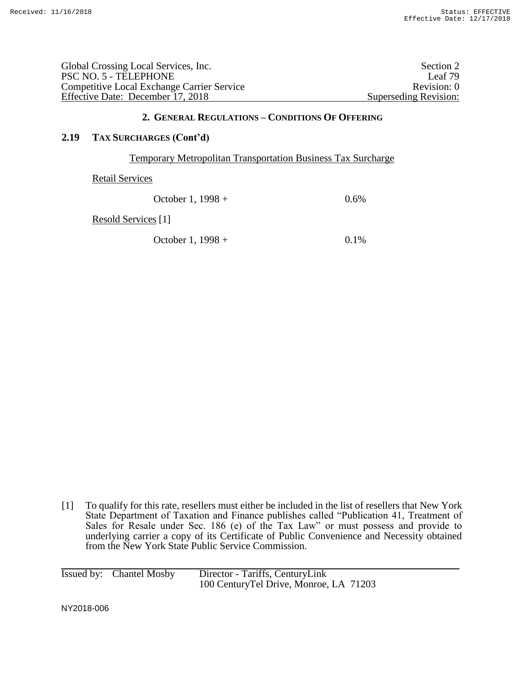| Global Crossing Local Services, Inc.              | Section 2             |
|---------------------------------------------------|-----------------------|
| PSC NO. 5 - TELEPHONE                             | Leaf 79               |
| <b>Competitive Local Exchange Carrier Service</b> | Revision: 0           |
| Effective Date: December 17, 2018                 | Superseding Revision: |

### **2.19 TAX SURCHARGES (Cont'd)**

#### Temporary Metropolitan Transportation Business Tax Surcharge

Retail Services

| October 1, $1998 +$ | 0.6% |
|---------------------|------|
|---------------------|------|

Resold Services [1]

October 1,  $1998 + 0.1\%$ 

[1] To qualify for this rate, resellers must either be included in the list of resellers that New York State Department of Taxation and Finance publishes called "Publication 41, Treatment of Sales for Resale under Sec. 186 (e) of the Tax Law" or must possess and provide to underlying carrier a copy of its Certificate of Public Convenience and Necessity obtained from the New York State Public Service Commission.

| Issued by: Chantel Mosby | Director - Tariffs, CenturyLink        |
|--------------------------|----------------------------------------|
|                          | 100 CenturyTel Drive, Monroe, LA 71203 |

NY2018-006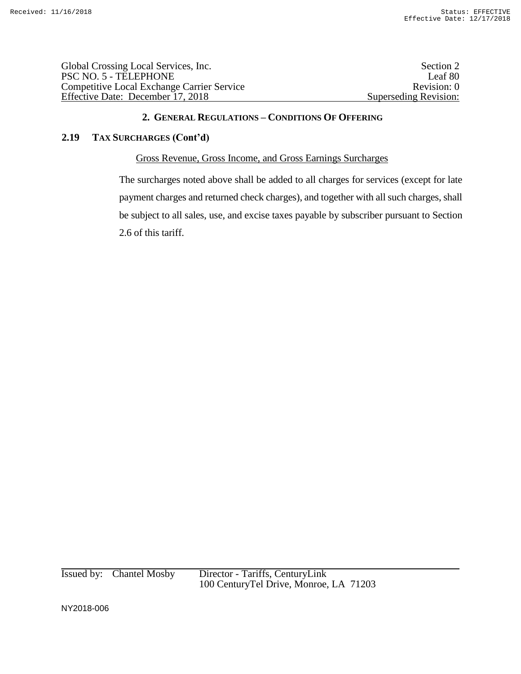| Section 2             |
|-----------------------|
| Leaf 80               |
| Revision: 0           |
| Superseding Revision: |
|                       |

# **2.19 TAX SURCHARGES (Cont'd)**

### Gross Revenue, Gross Income, and Gross Earnings Surcharges

The surcharges noted above shall be added to all charges for services (except for late payment charges and returned check charges), and together with all such charges, shall be subject to all sales, use, and excise taxes payable by subscriber pursuant to Section 2.6 of this tariff.

Issued by: Chantel Mosby Director - Tariffs, CenturyLink 100 CenturyTel Drive, Monroe, LA 71203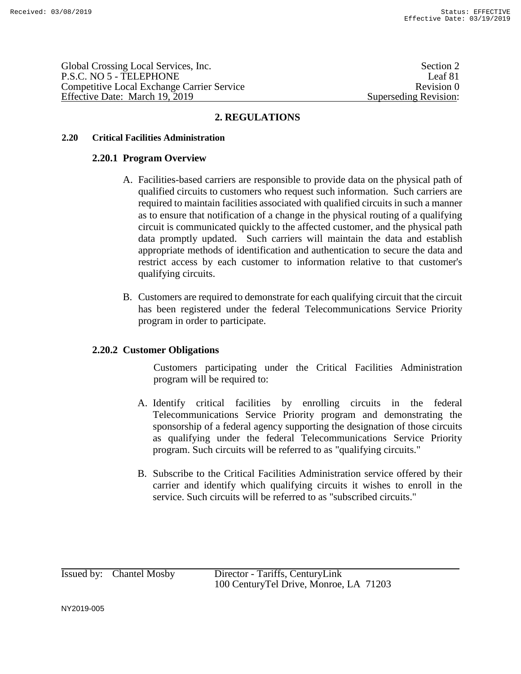Global Crossing Local Services, Inc. Section 2 and Section 2 and Section 2 and Section 2 and Section 2 and Section 2 and Section 2 and Section 2 and Section 2 and Section 2 and Section 2 and Section 2 and Section 2 and Sec P.S.C. NO 5 - TELEPHONE Leaf 81 Competitive Local Exchange Carrier Service **Review Accomputer Revision 0** Revision 0 Effective Date: March 19, 2019 Superseding Revision:

# **2. REGULATIONS**

### **2.20 Critical Facilities Administration**

### **2.20.1 Program Overview**

- A. Facilities-based carriers are responsible to provide data on the physical path of qualified circuits to customers who request such information. Such carriers are required to maintain facilities associated with qualified circuits in such a manner as to ensure that notification of a change in the physical routing of a qualifying circuit is communicated quickly to the affected customer, and the physical path data promptly updated. Such carriers will maintain the data and establish appropriate methods of identification and authentication to secure the data and restrict access by each customer to information relative to that customer's qualifying circuits.
- B. Customers are required to demonstrate for each qualifying circuit that the circuit has been registered under the federal Telecommunications Service Priority program in order to participate.

# **2.20.2 Customer Obligations**

Customers participating under the Critical Facilities Administration program will be required to:

- A. Identify critical facilities by enrolling circuits in the federal Telecommunications Service Priority program and demonstrating the sponsorship of a federal agency supporting the designation of those circuits as qualifying under the federal Telecommunications Service Priority program. Such circuits will be referred to as "qualifying circuits."
- B. Subscribe to the Critical Facilities Administration service offered by their carrier and identify which qualifying circuits it wishes to enroll in the service. Such circuits will be referred to as "subscribed circuits."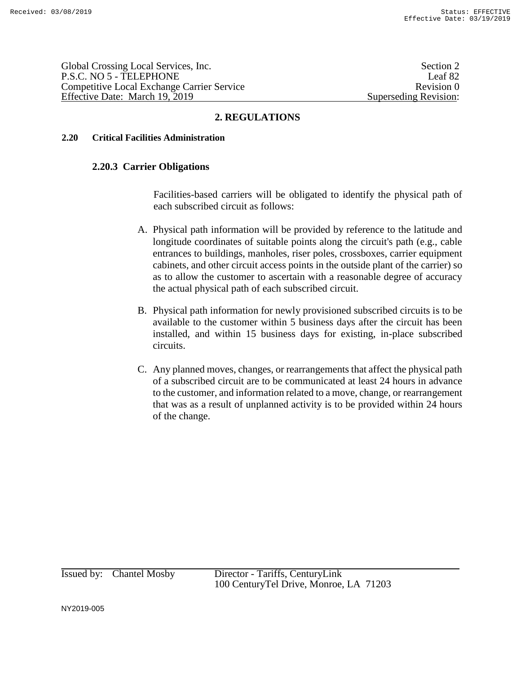Global Crossing Local Services, Inc. Section 2 and Section 2 and Section 2 and Section 2 and Section 2 and Section 2 and Section 2 and Section 2 and Section 2 and Section 2 and Section 2 and Section 2 and Section 2 and Sec P.S.C. NO 5 - TELEPHONE Leaf 82 Competitive Local Exchange Carrier Service **Review Accomputer Revision 0** Revision 0 Effective Date: March 19, 2019 Superseding Revision:

# **2. REGULATIONS**

### **2.20 Critical Facilities Administration**

### **2.20.3 Carrier Obligations**

Facilities-based carriers will be obligated to identify the physical path of each subscribed circuit as follows:

- A. Physical path information will be provided by reference to the latitude and longitude coordinates of suitable points along the circuit's path (e.g., cable entrances to buildings, manholes, riser poles, crossboxes, carrier equipment cabinets, and other circuit access points in the outside plant of the carrier) so as to allow the customer to ascertain with a reasonable degree of accuracy the actual physical path of each subscribed circuit.
- B. Physical path information for newly provisioned subscribed circuits is to be available to the customer within 5 business days after the circuit has been installed, and within 15 business days for existing, in-place subscribed circuits.
- C. Any planned moves, changes, or rearrangements that affect the physical path of a subscribed circuit are to be communicated at least 24 hours in advance to the customer, and information related to a move, change, or rearrangement that was as a result of unplanned activity is to be provided within 24 hours of the change.

Issued by: Chantel Mosby Director - Tariffs, CenturyLink 100 CenturyTel Drive, Monroe, LA 71203